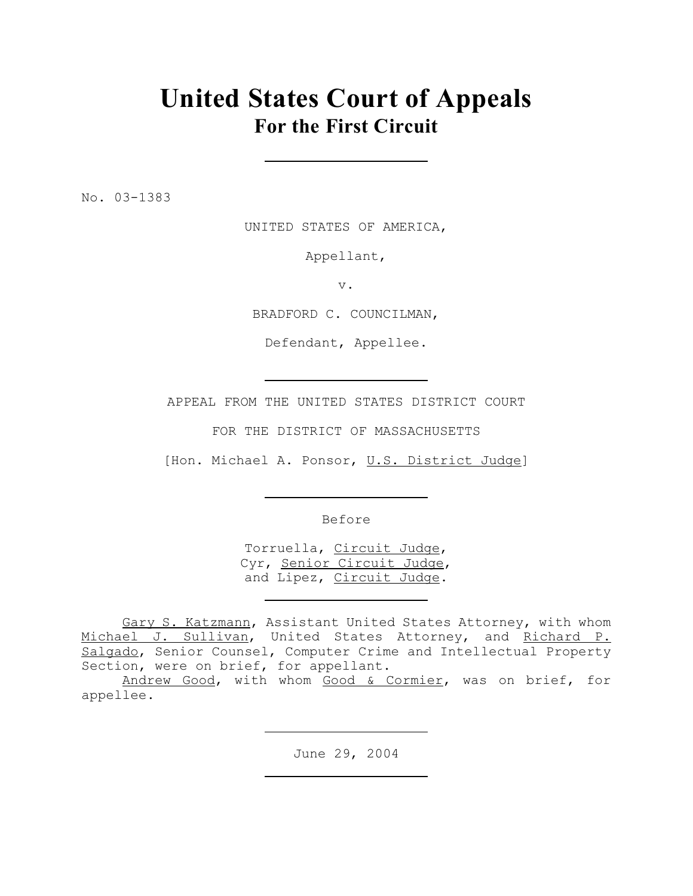# **United States Court of Appeals For the First Circuit**

No. 03-1383

UNITED STATES OF AMERICA,

Appellant,

v.

BRADFORD C. COUNCILMAN,

Defendant, Appellee.

APPEAL FROM THE UNITED STATES DISTRICT COURT

FOR THE DISTRICT OF MASSACHUSETTS

[Hon. Michael A. Ponsor, U.S. District Judge]

Before

Torruella, Circuit Judge, Cyr, Senior Circuit Judge, and Lipez, Circuit Judge.

Gary S. Katzmann, Assistant United States Attorney, with whom Michael J. Sullivan, United States Attorney, and Richard P. Salgado, Senior Counsel, Computer Crime and Intellectual Property Section, were on brief, for appellant.

Andrew Good, with whom Good & Cormier, was on brief, for appellee.

June 29, 2004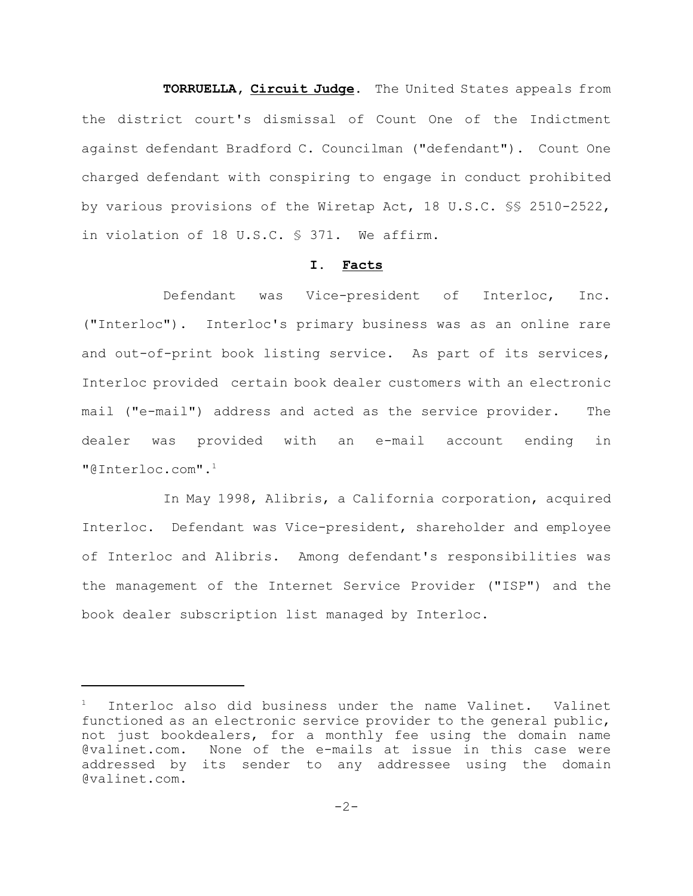**TORRUELLA, Circuit Judge.** The United States appeals from the district court's dismissal of Count One of the Indictment against defendant Bradford C. Councilman ("defendant"). Count One charged defendant with conspiring to engage in conduct prohibited by various provisions of the Wiretap Act, 18 U.S.C. §§ 2510-2522, in violation of 18 U.S.C. § 371. We affirm.

# **I. Facts**

Defendant was Vice-president of Interloc, Inc. ("Interloc"). Interloc's primary business was as an online rare and out-of-print book listing service. As part of its services, Interloc provided certain book dealer customers with an electronic mail ("e-mail") address and acted as the service provider. The dealer was provided with an e-mail account ending in "@Interloc.com".<sup>1</sup>

In May 1998, Alibris, a California corporation, acquired Interloc. Defendant was Vice-president, shareholder and employee of Interloc and Alibris. Among defendant's responsibilities was the management of the Internet Service Provider ("ISP") and the book dealer subscription list managed by Interloc.

<sup>1</sup> Interloc also did business under the name Valinet. Valinet functioned as an electronic service provider to the general public, not just bookdealers, for a monthly fee using the domain name @valinet.com. None of the e-mails at issue in this case were addressed by its sender to any addressee using the domain @valinet.com.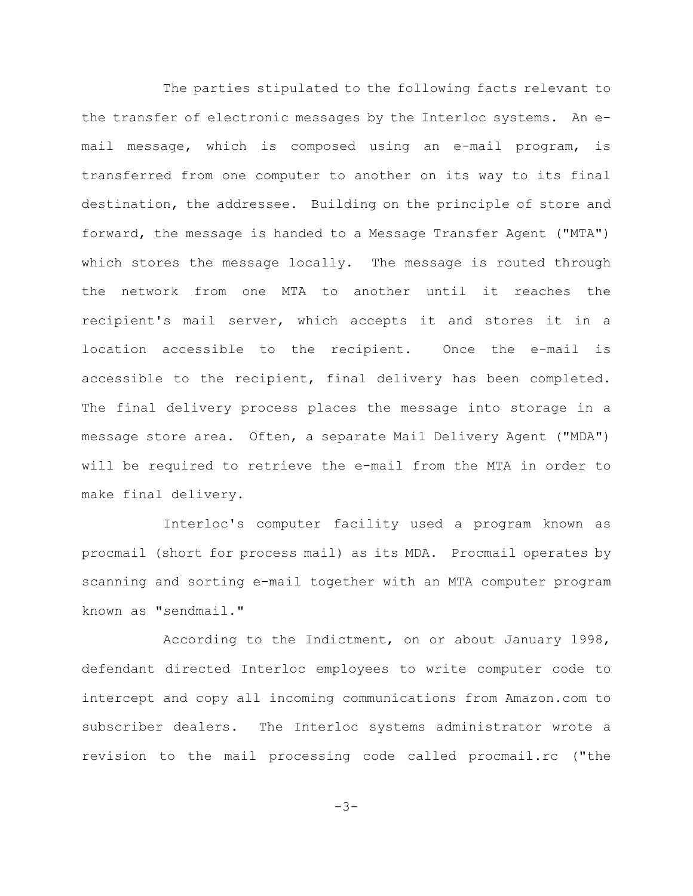The parties stipulated to the following facts relevant to the transfer of electronic messages by the Interloc systems. An email message, which is composed using an e-mail program, is transferred from one computer to another on its way to its final destination, the addressee. Building on the principle of store and forward, the message is handed to a Message Transfer Agent ("MTA") which stores the message locally. The message is routed through the network from one MTA to another until it reaches the recipient's mail server, which accepts it and stores it in a location accessible to the recipient. Once the e-mail is accessible to the recipient, final delivery has been completed. The final delivery process places the message into storage in a message store area. Often, a separate Mail Delivery Agent ("MDA") will be required to retrieve the e-mail from the MTA in order to make final delivery.

Interloc's computer facility used a program known as procmail (short for process mail) as its MDA. Procmail operates by scanning and sorting e-mail together with an MTA computer program known as "sendmail."

According to the Indictment, on or about January 1998, defendant directed Interloc employees to write computer code to intercept and copy all incoming communications from Amazon.com to subscriber dealers. The Interloc systems administrator wrote a revision to the mail processing code called procmail.rc ("the

 $-3-$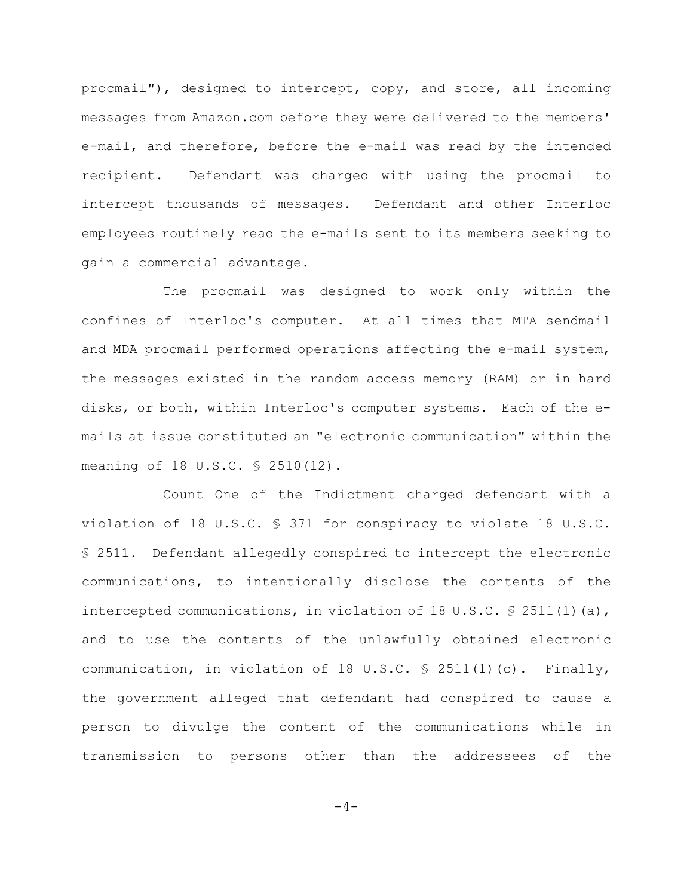procmail"), designed to intercept, copy, and store, all incoming messages from Amazon.com before they were delivered to the members' e-mail, and therefore, before the e-mail was read by the intended recipient. Defendant was charged with using the procmail to intercept thousands of messages. Defendant and other Interloc employees routinely read the e-mails sent to its members seeking to gain a commercial advantage.

The procmail was designed to work only within the confines of Interloc's computer. At all times that MTA sendmail and MDA procmail performed operations affecting the e-mail system, the messages existed in the random access memory (RAM) or in hard disks, or both, within Interloc's computer systems. Each of the emails at issue constituted an "electronic communication" within the meaning of 18 U.S.C. § 2510(12).

Count One of the Indictment charged defendant with a violation of 18 U.S.C. § 371 for conspiracy to violate 18 U.S.C. § 2511. Defendant allegedly conspired to intercept the electronic communications, to intentionally disclose the contents of the intercepted communications, in violation of 18 U.S.C.  $\frac{1}{5}$  2511(1)(a), and to use the contents of the unlawfully obtained electronic communication, in violation of 18 U.S.C.  $\frac{1}{5}$  2511(1)(c). Finally, the government alleged that defendant had conspired to cause a person to divulge the content of the communications while in transmission to persons other than the addressees of the

 $-4-$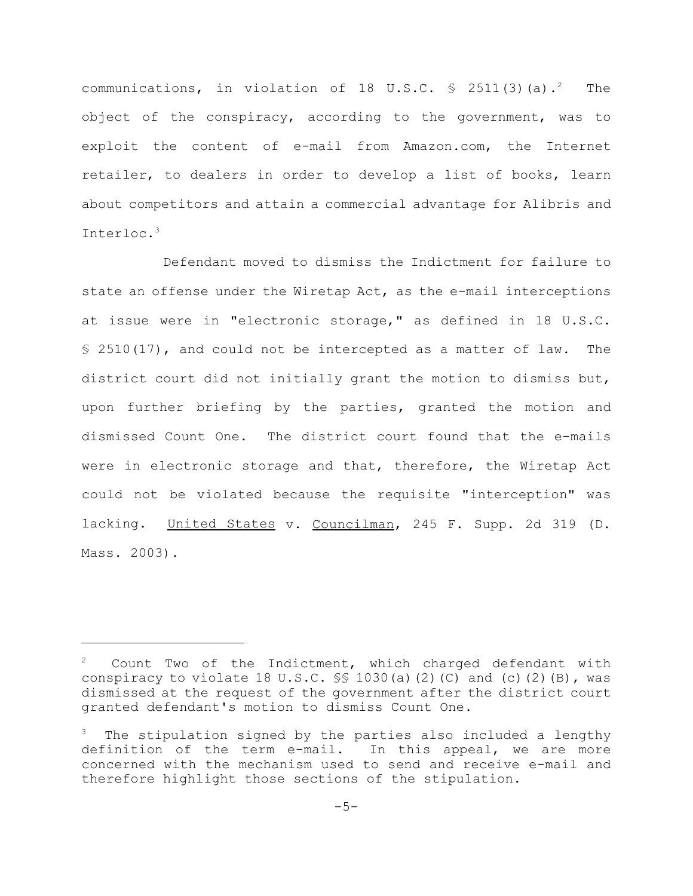communications, in violation of 18 U.S.C.  $\frac{1}{5}$  2511(3)(a).<sup>2</sup> The object of the conspiracy, according to the government, was to exploit the content of e-mail from Amazon.com, the Internet retailer, to dealers in order to develop a list of books, learn about competitors and attain a commercial advantage for Alibris and Interloc.<sup>3</sup>

Defendant moved to dismiss the Indictment for failure to state an offense under the Wiretap Act, as the e-mail interceptions at issue were in "electronic storage," as defined in 18 U.S.C. § 2510(17), and could not be intercepted as a matter of law. The district court did not initially grant the motion to dismiss but, upon further briefing by the parties, granted the motion and dismissed Count One. The district court found that the e-mails were in electronic storage and that, therefore, the Wiretap Act could not be violated because the requisite "interception" was lacking. United States v. Councilman, 245 F. Supp. 2d 319 (D. Mass. 2003).

Count Two of the Indictment, which charged defendant with conspiracy to violate 18 U.S.C.  $\frac{1}{5}$  1030(a)(2)(C) and (c)(2)(B), was dismissed at the request of the government after the district court granted defendant's motion to dismiss Count One.

The stipulation signed by the parties also included a lengthy definition of the term e-mail. In this appeal, we are more concerned with the mechanism used to send and receive e-mail and therefore highlight those sections of the stipulation.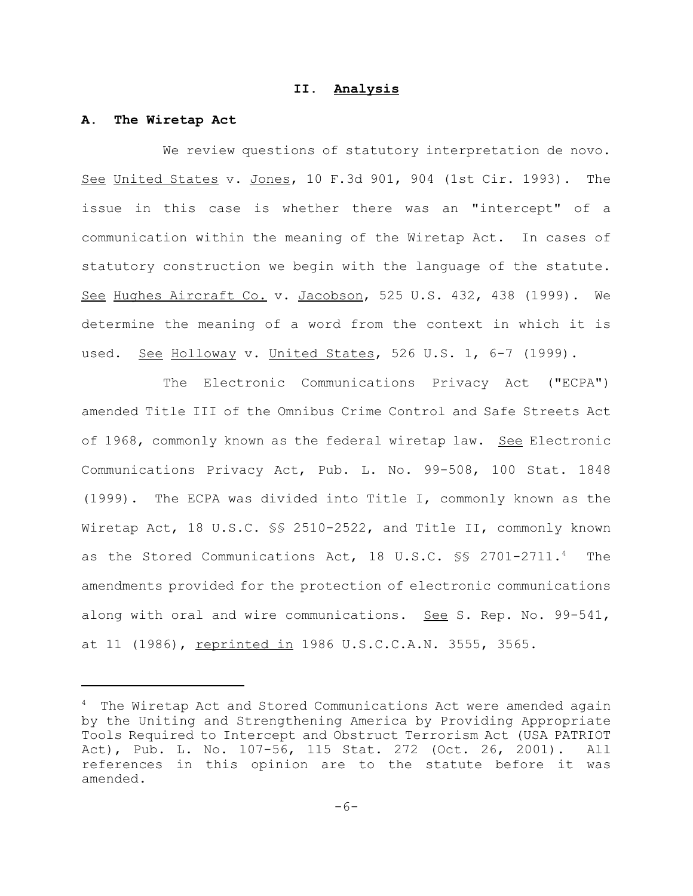## **II. Analysis**

#### **A. The Wiretap Act**

We review questions of statutory interpretation de novo. See United States v. Jones, 10 F.3d 901, 904 (1st Cir. 1993). The issue in this case is whether there was an "intercept" of a communication within the meaning of the Wiretap Act. In cases of statutory construction we begin with the language of the statute. See Hughes Aircraft Co. v. Jacobson, 525 U.S. 432, 438 (1999). We determine the meaning of a word from the context in which it is used. See Holloway v. United States, 526 U.S. 1, 6-7 (1999).

The Electronic Communications Privacy Act ("ECPA") amended Title III of the Omnibus Crime Control and Safe Streets Act of 1968, commonly known as the federal wiretap law. See Electronic Communications Privacy Act, Pub. L. No. 99-508, 100 Stat. 1848 (1999). The ECPA was divided into Title I, commonly known as the Wiretap Act, 18 U.S.C. §§ 2510-2522, and Title II, commonly known as the Stored Communications Act, 18 U.S.C. §§ 2701-2711.<sup>4</sup> The amendments provided for the protection of electronic communications along with oral and wire communications. See S. Rep. No. 99-541, at 11 (1986), reprinted in 1986 U.S.C.C.A.N. 3555, 3565.

<sup>&</sup>lt;sup>4</sup> The Wiretap Act and Stored Communications Act were amended again by the Uniting and Strengthening America by Providing Appropriate Tools Required to Intercept and Obstruct Terrorism Act (USA PATRIOT Act), Pub. L. No. 107-56, 115 Stat. 272 (Oct. 26, 2001). All references in this opinion are to the statute before it was amended.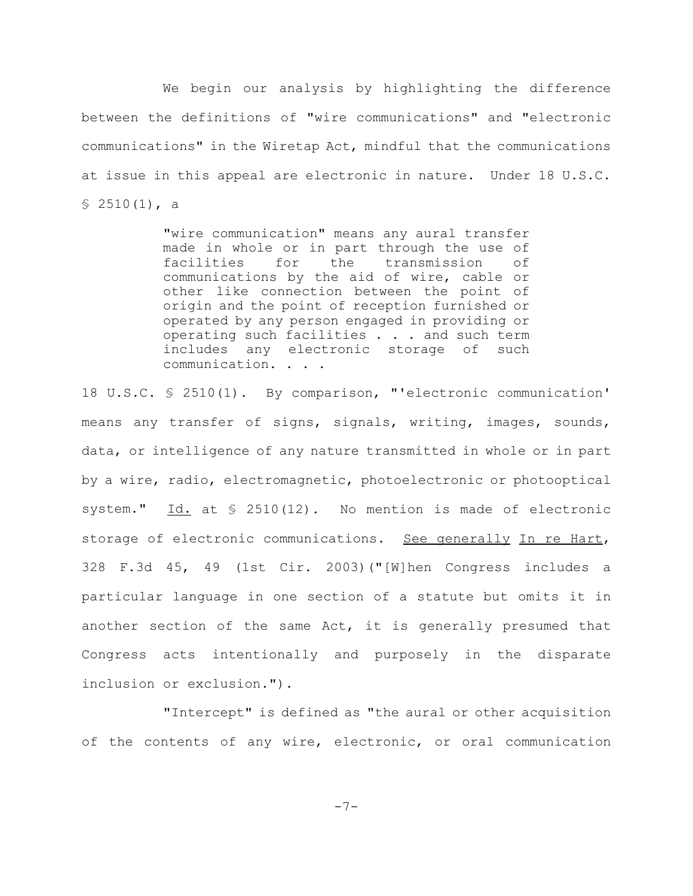We begin our analysis by highlighting the difference between the definitions of "wire communications" and "electronic communications" in the Wiretap Act, mindful that the communications at issue in this appeal are electronic in nature. Under 18 U.S.C.  $$2510(1)$ , a

> "wire communication" means any aural transfer made in whole or in part through the use of facilities for the transmission of communications by the aid of wire, cable or other like connection between the point of origin and the point of reception furnished or operated by any person engaged in providing or operating such facilities . . . and such term includes any electronic storage of such communication. . . .

18 U.S.C. § 2510(1). By comparison, "'electronic communication' means any transfer of signs, signals, writing, images, sounds, data, or intelligence of any nature transmitted in whole or in part by a wire, radio, electromagnetic, photoelectronic or photooptical system."  $\underline{Id.}$  at  $\S$  2510(12). No mention is made of electronic storage of electronic communications. See generally In re Hart, 328 F.3d 45, 49 (1st Cir. 2003)("[W]hen Congress includes a particular language in one section of a statute but omits it in another section of the same Act, it is generally presumed that Congress acts intentionally and purposely in the disparate inclusion or exclusion.").

"Intercept" is defined as "the aural or other acquisition of the contents of any wire, electronic, or oral communication

-7-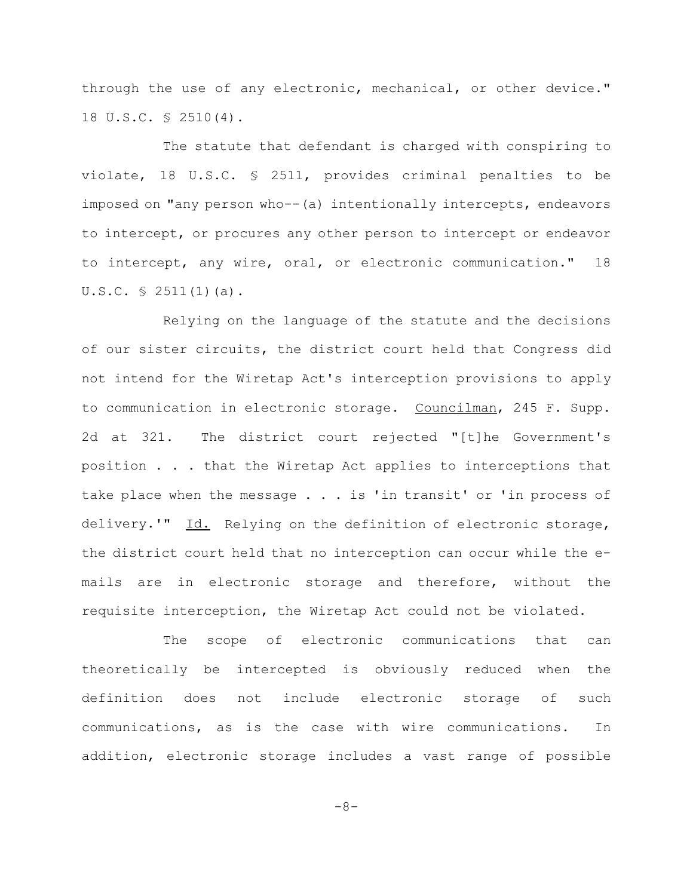through the use of any electronic, mechanical, or other device." 18 U.S.C. § 2510(4).

The statute that defendant is charged with conspiring to violate, 18 U.S.C. § 2511, provides criminal penalties to be imposed on "any person who--(a) intentionally intercepts, endeavors to intercept, or procures any other person to intercept or endeavor to intercept, any wire, oral, or electronic communication." 18  $U.S.C. \$ 2511(1)(a)$ .

Relying on the language of the statute and the decisions of our sister circuits, the district court held that Congress did not intend for the Wiretap Act's interception provisions to apply to communication in electronic storage. Councilman, 245 F. Supp. 2d at 321. The district court rejected "[t]he Government's position . . . that the Wiretap Act applies to interceptions that take place when the message . . . is 'in transit' or 'in process of delivery.'" Id. Relying on the definition of electronic storage, the district court held that no interception can occur while the emails are in electronic storage and therefore, without the requisite interception, the Wiretap Act could not be violated.

The scope of electronic communications that can theoretically be intercepted is obviously reduced when the definition does not include electronic storage of such communications, as is the case with wire communications. In addition, electronic storage includes a vast range of possible

 $-8-$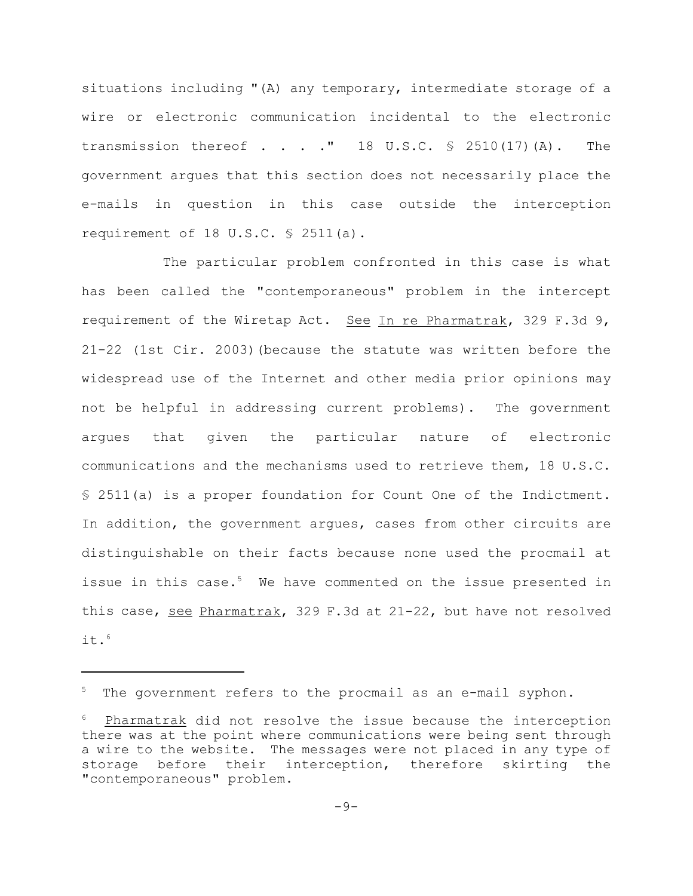situations including "(A) any temporary, intermediate storage of a wire or electronic communication incidental to the electronic transmission thereof  $\blacksquare$  . . . " 18 U.S.C.  $\lhd$  2510(17)(A). The government argues that this section does not necessarily place the e-mails in question in this case outside the interception requirement of 18 U.S.C.  $\frac{1}{5}$  2511(a).

The particular problem confronted in this case is what has been called the "contemporaneous" problem in the intercept requirement of the Wiretap Act. See In re Pharmatrak, 329 F.3d 9, 21-22 (1st Cir. 2003)(because the statute was written before the widespread use of the Internet and other media prior opinions may not be helpful in addressing current problems). The government argues that given the particular nature of electronic communications and the mechanisms used to retrieve them, 18 U.S.C. § 2511(a) is a proper foundation for Count One of the Indictment. In addition, the government argues, cases from other circuits are distinguishable on their facts because none used the procmail at issue in this case.<sup>5</sup> We have commented on the issue presented in this case, see Pharmatrak, 329 F.3d at 21-22, but have not resolved it. $6$ 

The government refers to the procmail as an e-mail syphon.

Pharmatrak did not resolve the issue because the interception there was at the point where communications were being sent through a wire to the website. The messages were not placed in any type of storage before their interception, therefore skirting the "contemporaneous" problem.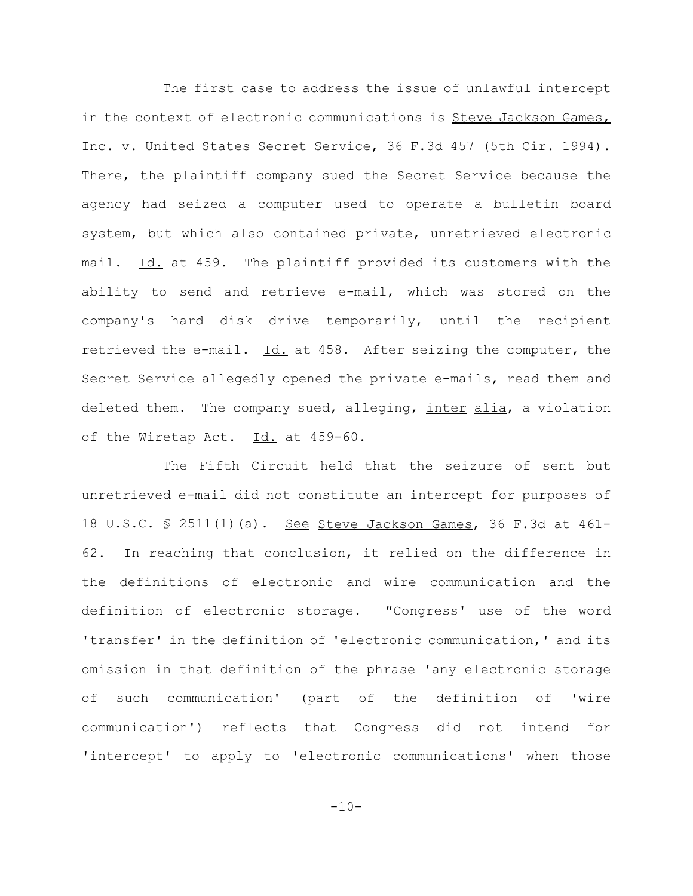The first case to address the issue of unlawful intercept in the context of electronic communications is Steve Jackson Games, Inc. v. United States Secret Service, 36 F.3d 457 (5th Cir. 1994). There, the plaintiff company sued the Secret Service because the agency had seized a computer used to operate a bulletin board system, but which also contained private, unretrieved electronic mail. Id. at 459. The plaintiff provided its customers with the ability to send and retrieve e-mail, which was stored on the company's hard disk drive temporarily, until the recipient retrieved the e-mail.  $\underline{Id.}$  at 458. After seizing the computer, the Secret Service allegedly opened the private e-mails, read them and deleted them. The company sued, alleging, inter alia, a violation of the Wiretap Act. Id. at 459-60.

The Fifth Circuit held that the seizure of sent but unretrieved e-mail did not constitute an intercept for purposes of 18 U.S.C. § 2511(1)(a). See Steve Jackson Games, 36 F.3d at 461- 62. In reaching that conclusion, it relied on the difference in the definitions of electronic and wire communication and the definition of electronic storage. "Congress' use of the word 'transfer' in the definition of 'electronic communication,' and its omission in that definition of the phrase 'any electronic storage of such communication' (part of the definition of 'wire communication') reflects that Congress did not intend for 'intercept' to apply to 'electronic communications' when those

 $-10-$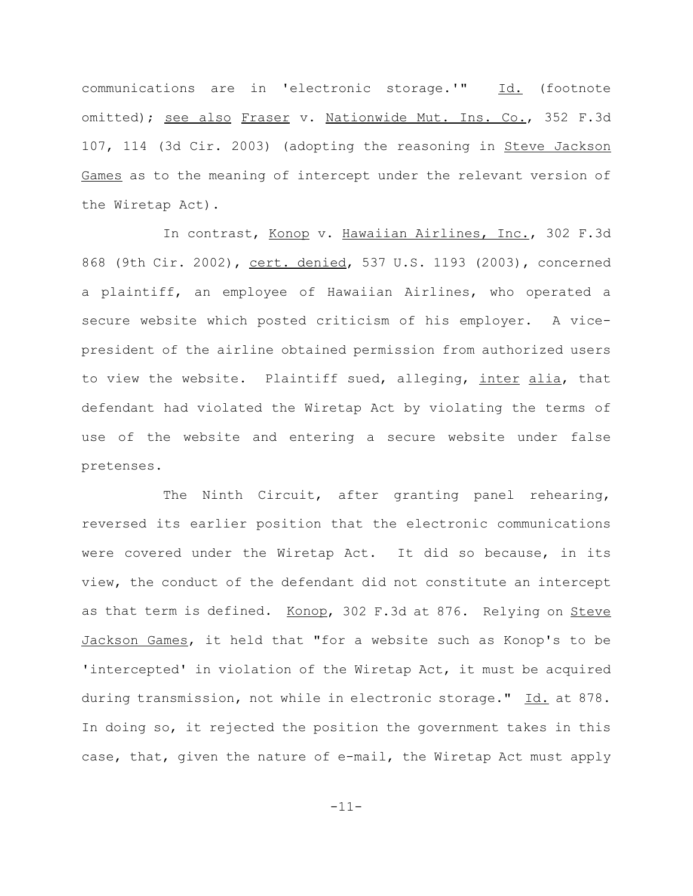communications are in 'electronic storage.'" Id. (footnote omitted); see also Fraser v. Nationwide Mut. Ins. Co., 352 F.3d 107, 114 (3d Cir. 2003) (adopting the reasoning in Steve Jackson Games as to the meaning of intercept under the relevant version of the Wiretap Act).

In contrast, Konop v. Hawaiian Airlines, Inc., 302 F.3d 868 (9th Cir. 2002), cert. denied, 537 U.S. 1193 (2003), concerned a plaintiff, an employee of Hawaiian Airlines, who operated a secure website which posted criticism of his employer. A vicepresident of the airline obtained permission from authorized users to view the website. Plaintiff sued, alleging, inter alia, that defendant had violated the Wiretap Act by violating the terms of use of the website and entering a secure website under false pretenses.

The Ninth Circuit, after granting panel rehearing, reversed its earlier position that the electronic communications were covered under the Wiretap Act. It did so because, in its view, the conduct of the defendant did not constitute an intercept as that term is defined. Konop, 302 F.3d at 876. Relying on Steve Jackson Games, it held that "for a website such as Konop's to be 'intercepted' in violation of the Wiretap Act, it must be acquired during transmission, not while in electronic storage." Id. at 878. In doing so, it rejected the position the government takes in this case, that, given the nature of e-mail, the Wiretap Act must apply

-11-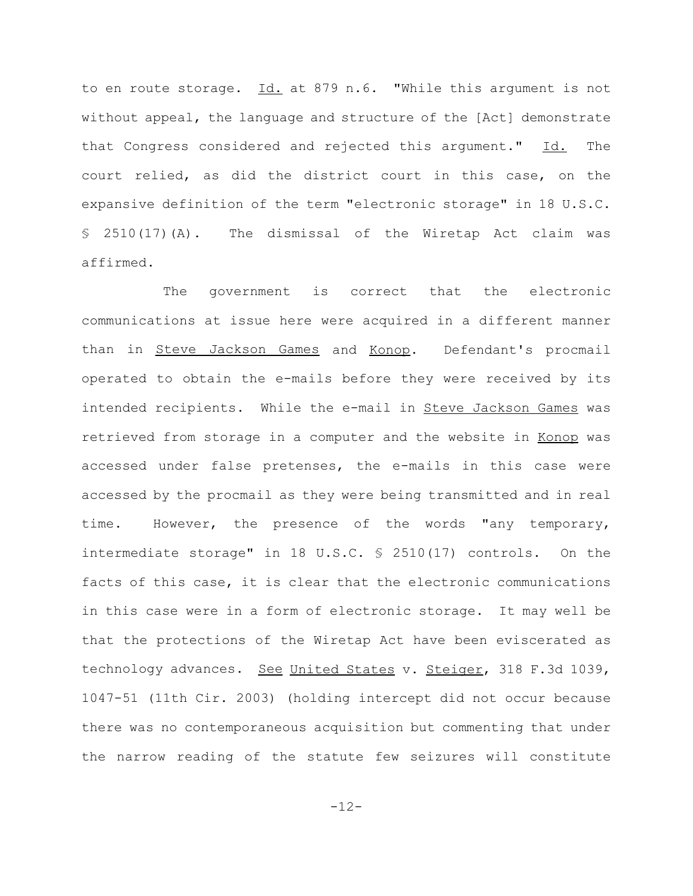to en route storage. Id. at 879 n.6. "While this argument is not without appeal, the language and structure of the [Act] demonstrate that Congress considered and rejected this argument."  $Id.$  The court relied, as did the district court in this case, on the expansive definition of the term "electronic storage" in 18 U.S.C. § 2510(17)(A). The dismissal of the Wiretap Act claim was affirmed.

The government is correct that the electronic communications at issue here were acquired in a different manner than in Steve Jackson Games and Konop. Defendant's procmail operated to obtain the e-mails before they were received by its intended recipients. While the e-mail in Steve Jackson Games was retrieved from storage in a computer and the website in Konop was accessed under false pretenses, the e-mails in this case were accessed by the procmail as they were being transmitted and in real time. However, the presence of the words "any temporary, intermediate storage" in 18 U.S.C. § 2510(17) controls. On the facts of this case, it is clear that the electronic communications in this case were in a form of electronic storage. It may well be that the protections of the Wiretap Act have been eviscerated as technology advances. See United States v. Steiger, 318 F.3d 1039, 1047-51 (11th Cir. 2003) (holding intercept did not occur because there was no contemporaneous acquisition but commenting that under the narrow reading of the statute few seizures will constitute

-12-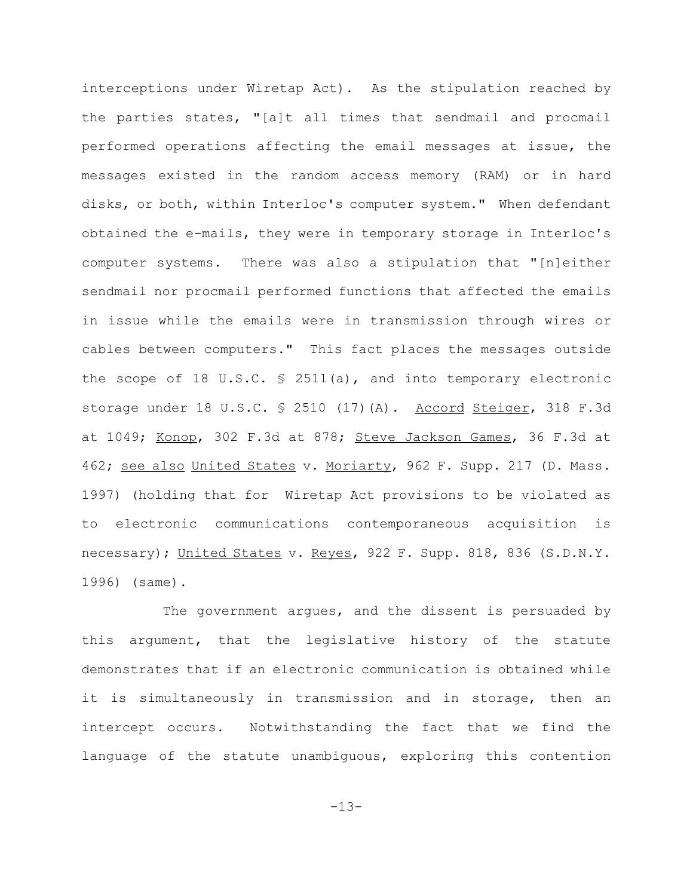interceptions under Wiretap Act). As the stipulation reached by the parties states, "[a]t all times that sendmail and procmail performed operations affecting the email messages at issue, the messages existed in the random access memory (RAM) or in hard disks, or both, within Interloc's computer system." When defendant obtained the e-mails, they were in temporary storage in Interloc's computer systems. There was also a stipulation that "[n]either sendmail nor procmail performed functions that affected the emails in issue while the emails were in transmission through wires or cables between computers." This fact places the messages outside the scope of 18 U.S.C.  $\frac{1}{2}$  2511(a), and into temporary electronic storage under 18 U.S.C. § 2510 (17)(A). Accord Steiger, 318 F.3d at 1049; Konop, 302 F.3d at 878; Steve Jackson Games, 36 F.3d at 462; see also United States v. Moriarty, 962 F. Supp. 217 (D. Mass. 1997) (holding that for Wiretap Act provisions to be violated as to electronic communications contemporaneous acquisition is necessary); United States v. Reyes, 922 F. Supp. 818, 836 (S.D.N.Y. 1996) (same).

The government argues, and the dissent is persuaded by this argument, that the legislative history of the statute demonstrates that if an electronic communication is obtained while it is simultaneously in transmission and in storage, then an intercept occurs. Notwithstanding the fact that we find the language of the statute unambiguous, exploring this contention

-13-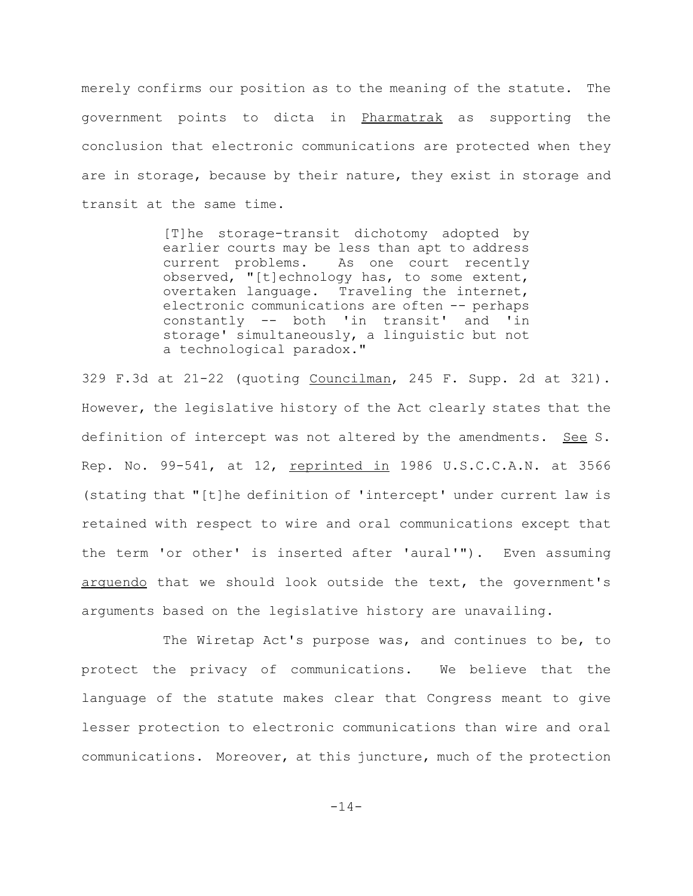merely confirms our position as to the meaning of the statute. The government points to dicta in Pharmatrak as supporting the conclusion that electronic communications are protected when they are in storage, because by their nature, they exist in storage and transit at the same time.

> [T]he storage-transit dichotomy adopted by earlier courts may be less than apt to address current problems. As one court recently observed, "[t]echnology has, to some extent, overtaken language. Traveling the internet, electronic communications are often -- perhaps constantly -- both 'in transit' and 'in storage' simultaneously, a linguistic but not a technological paradox."

329 F.3d at 21-22 (quoting Councilman, 245 F. Supp. 2d at 321). However, the legislative history of the Act clearly states that the definition of intercept was not altered by the amendments. See S. Rep. No. 99-541, at 12, reprinted in 1986 U.S.C.C.A.N. at 3566 (stating that "[t]he definition of 'intercept' under current law is retained with respect to wire and oral communications except that the term 'or other' is inserted after 'aural'"). Even assuming arguendo that we should look outside the text, the government's arguments based on the legislative history are unavailing.

The Wiretap Act's purpose was, and continues to be, to protect the privacy of communications. We believe that the language of the statute makes clear that Congress meant to give lesser protection to electronic communications than wire and oral communications. Moreover, at this juncture, much of the protection

-14-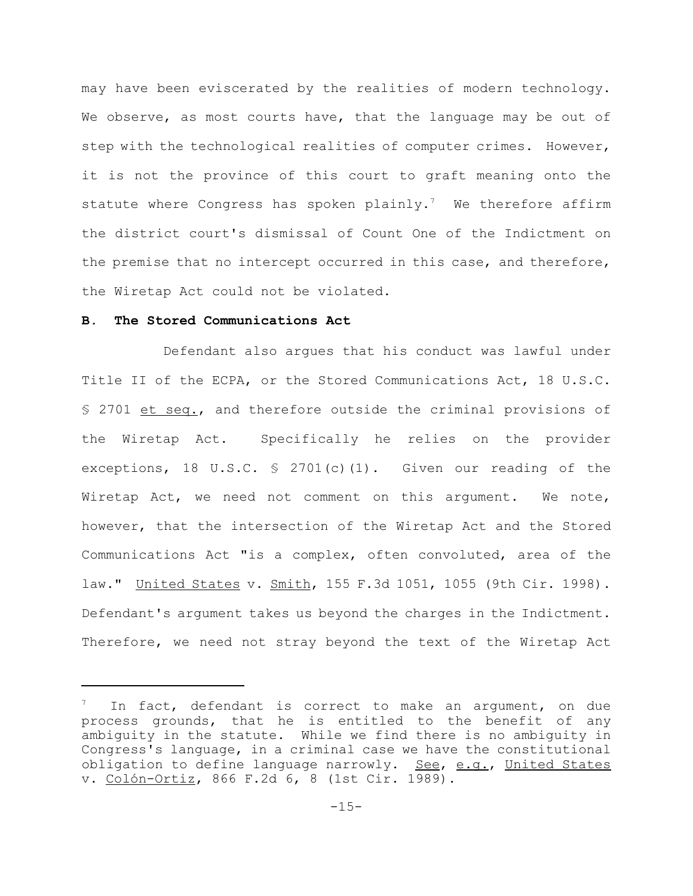may have been eviscerated by the realities of modern technology. We observe, as most courts have, that the language may be out of step with the technological realities of computer crimes. However, it is not the province of this court to graft meaning onto the statute where Congress has spoken plainly.<sup>7</sup> We therefore affirm the district court's dismissal of Count One of the Indictment on the premise that no intercept occurred in this case, and therefore, the Wiretap Act could not be violated.

# **B. The Stored Communications Act**

Defendant also argues that his conduct was lawful under Title II of the ECPA, or the Stored Communications Act, 18 U.S.C. § 2701 et seq., and therefore outside the criminal provisions of the Wiretap Act. Specifically he relies on the provider exceptions, 18 U.S.C.  $\frac{6}{5}$  2701(c)(1). Given our reading of the Wiretap Act, we need not comment on this argument. We note, however, that the intersection of the Wiretap Act and the Stored Communications Act "is a complex, often convoluted, area of the law." United States v. Smith, 155 F.3d 1051, 1055 (9th Cir. 1998). Defendant's argument takes us beyond the charges in the Indictment. Therefore, we need not stray beyond the text of the Wiretap Act

In fact, defendant is correct to make an argument, on due process grounds, that he is entitled to the benefit of any ambiguity in the statute. While we find there is no ambiguity in Congress's language, in a criminal case we have the constitutional obligation to define language narrowly. See, e.g., United States v. Colón-Ortiz, 866 F.2d 6, 8 (1st Cir. 1989).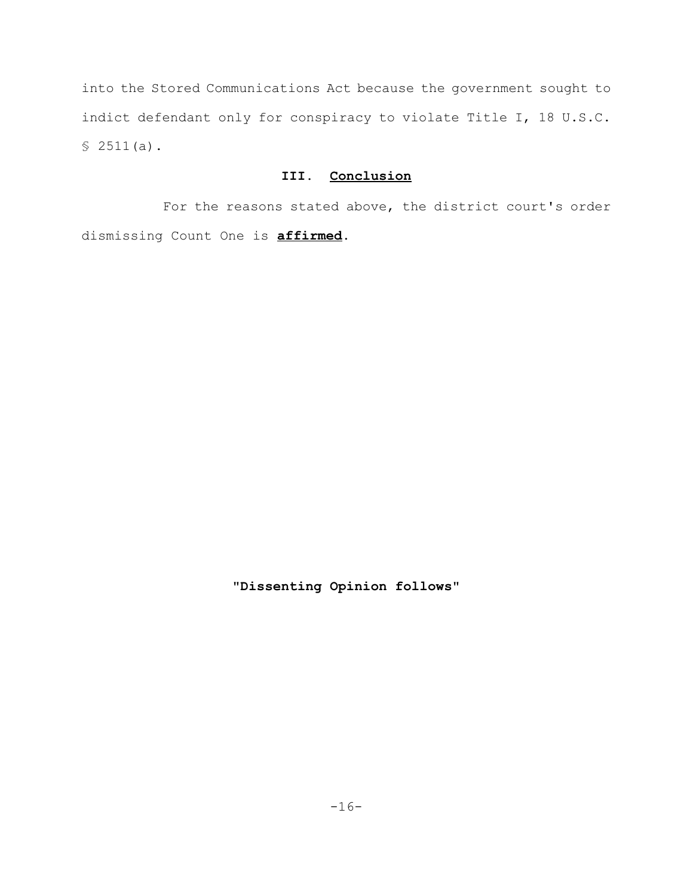into the Stored Communications Act because the government sought to indict defendant only for conspiracy to violate Title I, 18 U.S.C.  $$2511(a)$ .

# **III. Conclusion**

For the reasons stated above, the district court's order dismissing Count One is **affirmed**.

**"Dissenting Opinion follows"**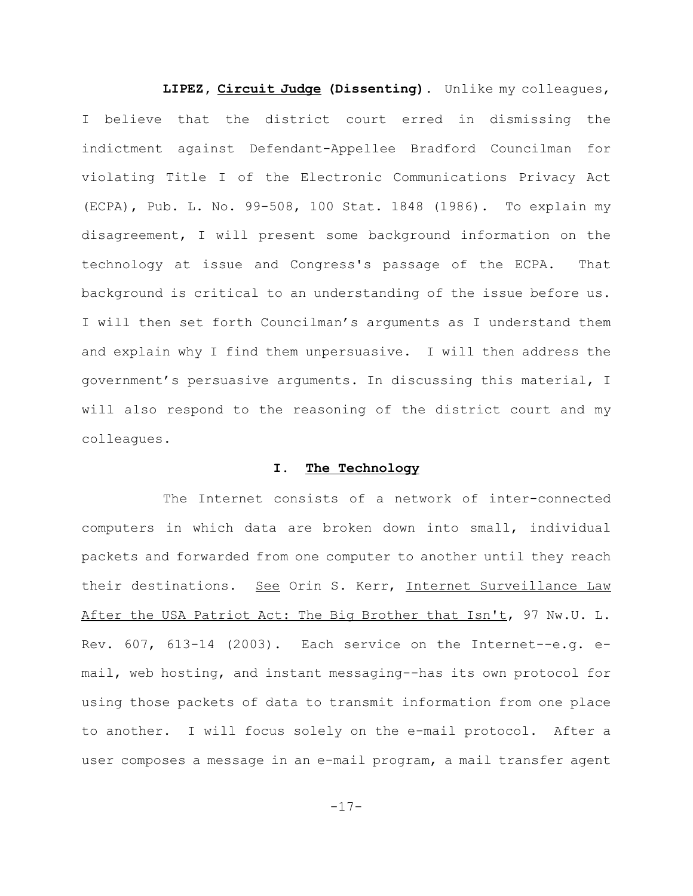**LIPEZ, Circuit Judge (Dissenting).** Unlike my colleagues, I believe that the district court erred in dismissing the indictment against Defendant-Appellee Bradford Councilman for violating Title I of the Electronic Communications Privacy Act (ECPA), Pub. L. No. 99-508, 100 Stat. 1848 (1986). To explain my disagreement, I will present some background information on the technology at issue and Congress's passage of the ECPA. That background is critical to an understanding of the issue before us. I will then set forth Councilman's arguments as I understand them and explain why I find them unpersuasive. I will then address the government's persuasive arguments. In discussing this material, I will also respond to the reasoning of the district court and my colleagues.

## **I. The Technology**

The Internet consists of a network of inter-connected computers in which data are broken down into small, individual packets and forwarded from one computer to another until they reach their destinations. See Orin S. Kerr, Internet Surveillance Law After the USA Patriot Act: The Big Brother that Isn't, 97 Nw.U. L. Rev. 607, 613-14 (2003). Each service on the Internet--e.g. email, web hosting, and instant messaging--has its own protocol for using those packets of data to transmit information from one place to another. I will focus solely on the e-mail protocol. After a user composes a message in an e-mail program, a mail transfer agent

-17-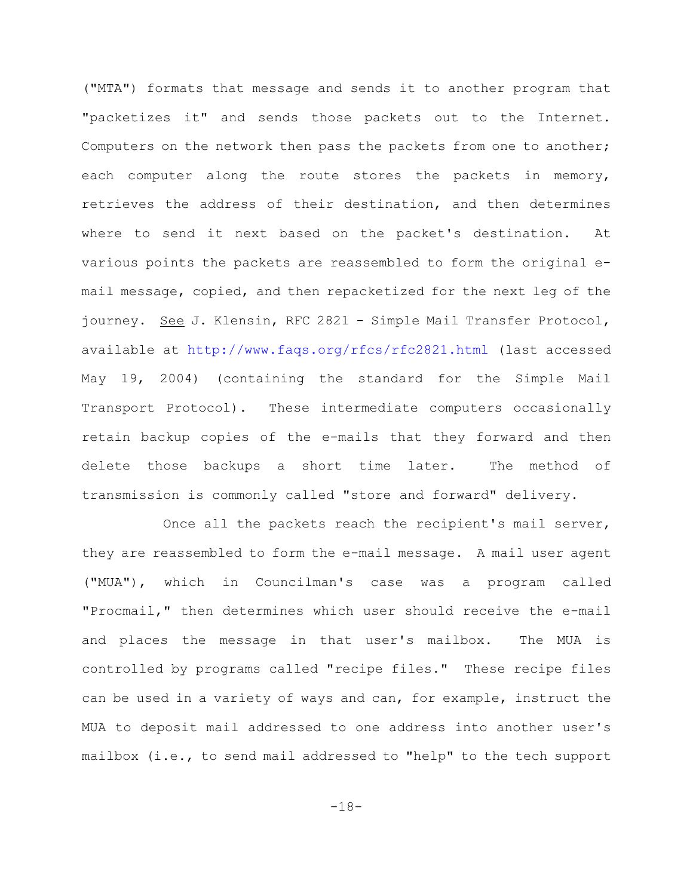("MTA") formats that message and sends it to another program that "packetizes it" and sends those packets out to the Internet. Computers on the network then pass the packets from one to another; each computer along the route stores the packets in memory, retrieves the address of their destination, and then determines where to send it next based on the packet's destination. At various points the packets are reassembled to form the original email message, copied, and then repacketized for the next leg of the journey. See J. Klensin, RFC 2821 - Simple Mail Transfer Protocol, available at http://www.faqs.org/rfcs/rfc2821.html (last accessed May 19, 2004) (containing the standard for the Simple Mail Transport Protocol). These intermediate computers occasionally retain backup copies of the e-mails that they forward and then delete those backups a short time later. The method of transmission is commonly called "store and forward" delivery.

Once all the packets reach the recipient's mail server, they are reassembled to form the e-mail message. A mail user agent ("MUA"), which in Councilman's case was a program called "Procmail," then determines which user should receive the e-mail and places the message in that user's mailbox. The MUA is controlled by programs called "recipe files." These recipe files can be used in a variety of ways and can, for example, instruct the MUA to deposit mail addressed to one address into another user's mailbox (i.e., to send mail addressed to "help" to the tech support

-18-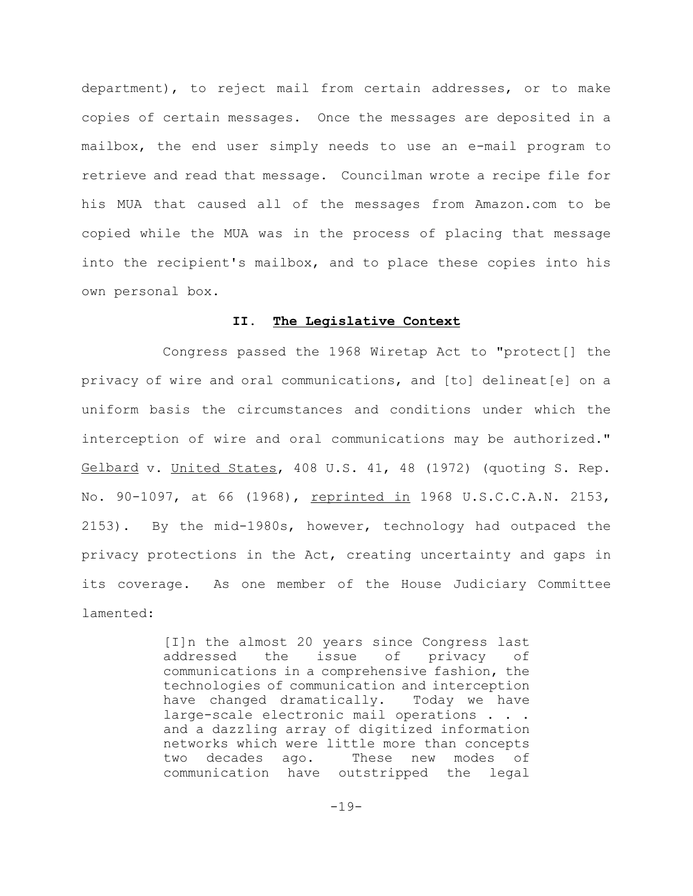department), to reject mail from certain addresses, or to make copies of certain messages. Once the messages are deposited in a mailbox, the end user simply needs to use an e-mail program to retrieve and read that message. Councilman wrote a recipe file for his MUA that caused all of the messages from Amazon.com to be copied while the MUA was in the process of placing that message into the recipient's mailbox, and to place these copies into his own personal box.

## **II. The Legislative Context**

Congress passed the 1968 Wiretap Act to "protect[] the privacy of wire and oral communications, and [to] delineat[e] on a uniform basis the circumstances and conditions under which the interception of wire and oral communications may be authorized." Gelbard v. United States, 408 U.S. 41, 48 (1972) (quoting S. Rep. No. 90-1097, at 66 (1968), reprinted in 1968 U.S.C.C.A.N. 2153, 2153). By the mid-1980s, however, technology had outpaced the privacy protections in the Act, creating uncertainty and gaps in its coverage. As one member of the House Judiciary Committee lamented:

> [I]n the almost 20 years since Congress last addressed the issue of privacy of communications in a comprehensive fashion, the technologies of communication and interception have changed dramatically. Today we have large-scale electronic mail operations . . . and a dazzling array of digitized information networks which were little more than concepts two decades ago. These new modes of communication have outstripped the legal

> > -19-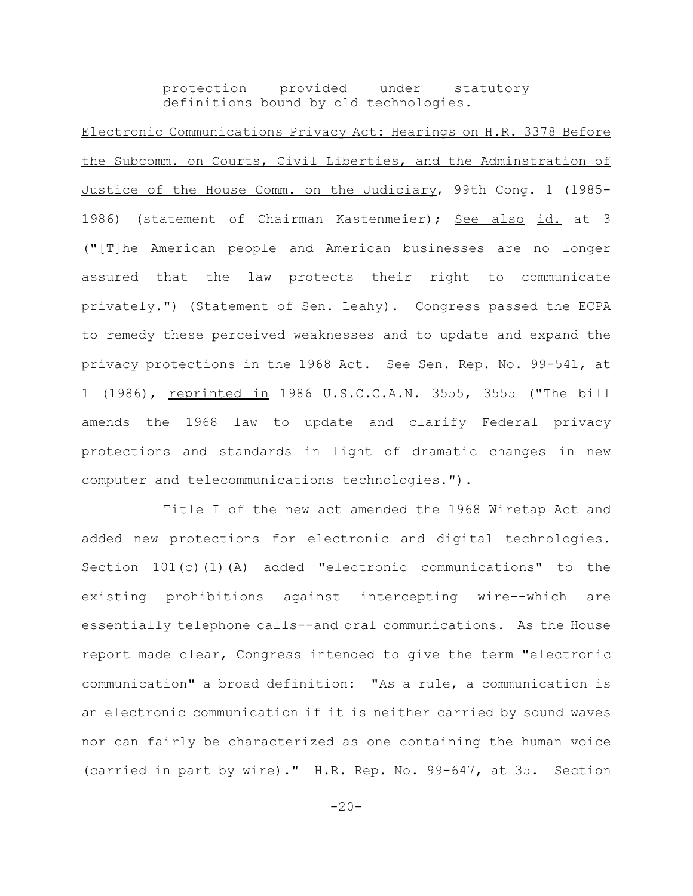protection provided under statutory definitions bound by old technologies.

Electronic Communications Privacy Act: Hearings on H.R. 3378 Before the Subcomm. on Courts, Civil Liberties, and the Adminstration of Justice of the House Comm. on the Judiciary, 99th Cong. 1 (1985-1986) (statement of Chairman Kastenmeier); See also id. at 3 ("[T]he American people and American businesses are no longer assured that the law protects their right to communicate privately.") (Statement of Sen. Leahy). Congress passed the ECPA to remedy these perceived weaknesses and to update and expand the privacy protections in the 1968 Act. See Sen. Rep. No. 99-541, at 1 (1986), reprinted in 1986 U.S.C.C.A.N. 3555, 3555 ("The bill amends the 1968 law to update and clarify Federal privacy protections and standards in light of dramatic changes in new computer and telecommunications technologies.").

Title I of the new act amended the 1968 Wiretap Act and added new protections for electronic and digital technologies. Section 101(c)(1)(A) added "electronic communications" to the existing prohibitions against intercepting wire--which are essentially telephone calls--and oral communications. As the House report made clear, Congress intended to give the term "electronic communication" a broad definition: "As a rule, a communication is an electronic communication if it is neither carried by sound waves nor can fairly be characterized as one containing the human voice (carried in part by wire)." H.R. Rep. No. 99-647, at 35. Section

 $-20-$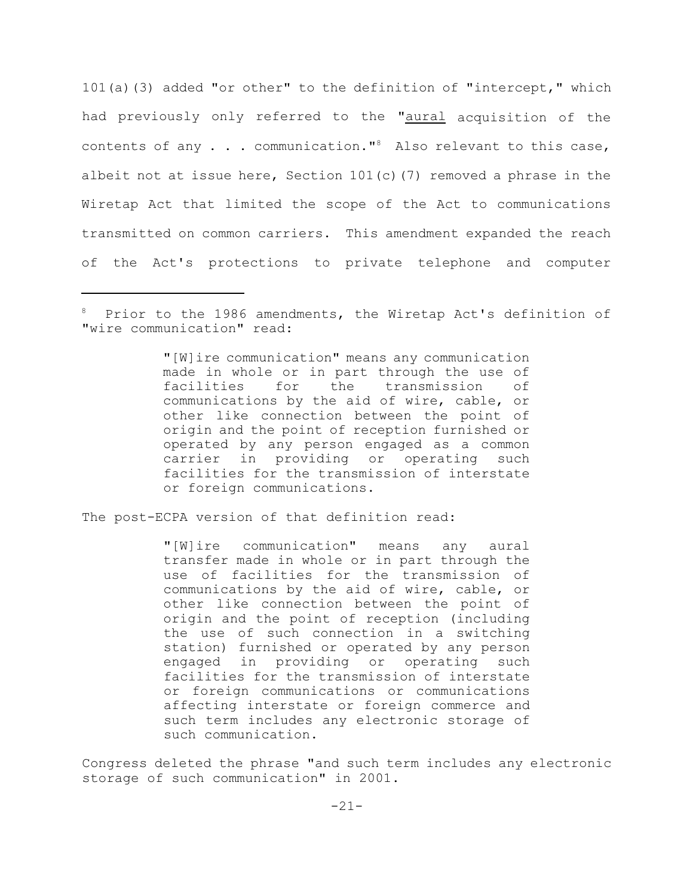101(a)(3) added "or other" to the definition of "intercept," which had previously only referred to the "aural acquisition of the contents of any  $\ldots$  communication."<sup>8</sup> Also relevant to this case, albeit not at issue here, Section  $101(c)$  (7) removed a phrase in the Wiretap Act that limited the scope of the Act to communications transmitted on common carriers. This amendment expanded the reach of the Act's protections to private telephone and computer

"[W]ire communication" means any communication made in whole or in part through the use of facilities for the transmission of communications by the aid of wire, cable, or other like connection between the point of origin and the point of reception furnished or operated by any person engaged as a common carrier in providing or operating such facilities for the transmission of interstate or foreign communications.

The post-ECPA version of that definition read:

"[W]ire communication" means any aural transfer made in whole or in part through the use of facilities for the transmission of communications by the aid of wire, cable, or other like connection between the point of origin and the point of reception (including the use of such connection in a switching station) furnished or operated by any person engaged in providing or operating such facilities for the transmission of interstate or foreign communications or communications affecting interstate or foreign commerce and such term includes any electronic storage of such communication.

Congress deleted the phrase "and such term includes any electronic storage of such communication" in 2001.

<sup>&</sup>lt;sup>8</sup> Prior to the 1986 amendments, the Wiretap Act's definition of "wire communication" read: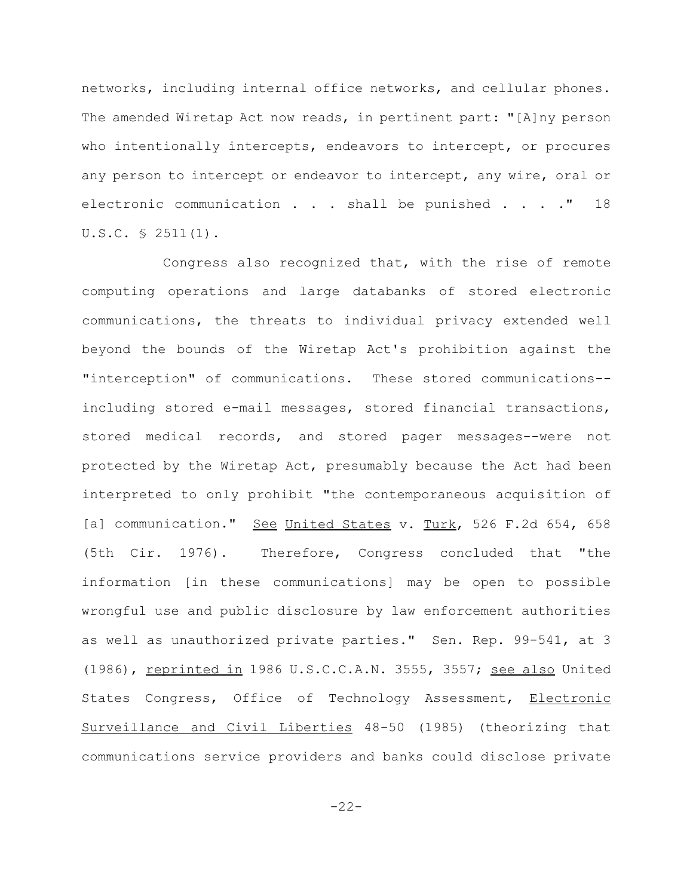networks, including internal office networks, and cellular phones. The amended Wiretap Act now reads, in pertinent part: "[A]ny person who intentionally intercepts, endeavors to intercept, or procures any person to intercept or endeavor to intercept, any wire, oral or electronic communication . . . shall be punished . . . . " 18 U.S.C. § 2511(1).

Congress also recognized that, with the rise of remote computing operations and large databanks of stored electronic communications, the threats to individual privacy extended well beyond the bounds of the Wiretap Act's prohibition against the "interception" of communications. These stored communications- including stored e-mail messages, stored financial transactions, stored medical records, and stored pager messages--were not protected by the Wiretap Act, presumably because the Act had been interpreted to only prohibit "the contemporaneous acquisition of [a] communication." See United States v. Turk, 526 F.2d 654, 658 (5th Cir. 1976). Therefore, Congress concluded that "the information [in these communications] may be open to possible wrongful use and public disclosure by law enforcement authorities as well as unauthorized private parties." Sen. Rep. 99-541, at 3 (1986), reprinted in 1986 U.S.C.C.A.N. 3555, 3557; see also United States Congress, Office of Technology Assessment, Electronic Surveillance and Civil Liberties 48-50 (1985) (theorizing that communications service providers and banks could disclose private

 $-22-$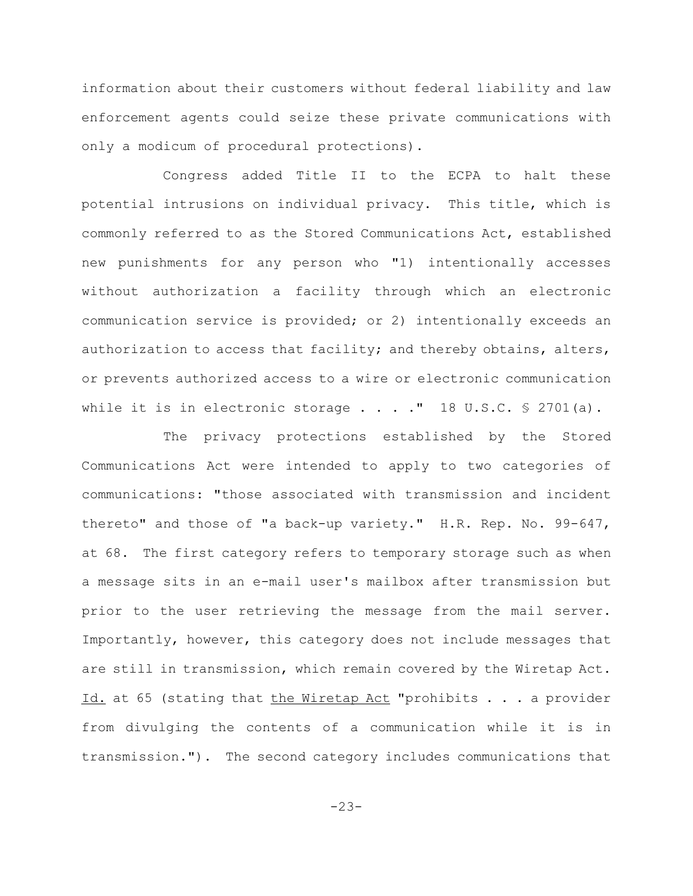information about their customers without federal liability and law enforcement agents could seize these private communications with only a modicum of procedural protections).

Congress added Title II to the ECPA to halt these potential intrusions on individual privacy. This title, which is commonly referred to as the Stored Communications Act, established new punishments for any person who "1) intentionally accesses without authorization a facility through which an electronic communication service is provided; or 2) intentionally exceeds an authorization to access that facility; and thereby obtains, alters, or prevents authorized access to a wire or electronic communication while it is in electronic storage  $\ldots$  . . " 18 U.S.C. § 2701(a).

The privacy protections established by the Stored Communications Act were intended to apply to two categories of communications: "those associated with transmission and incident thereto" and those of "a back-up variety." H.R. Rep. No. 99-647, at 68. The first category refers to temporary storage such as when a message sits in an e-mail user's mailbox after transmission but prior to the user retrieving the message from the mail server. Importantly, however, this category does not include messages that are still in transmission, which remain covered by the Wiretap Act. Id. at 65 (stating that the Wiretap Act "prohibits . . . a provider from divulging the contents of a communication while it is in transmission."). The second category includes communications that

-23-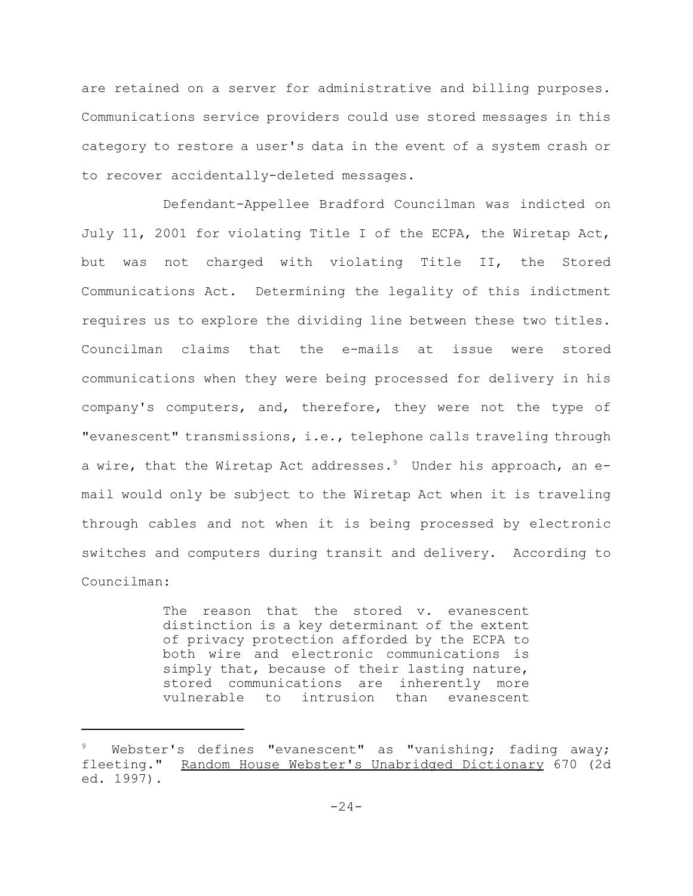are retained on a server for administrative and billing purposes. Communications service providers could use stored messages in this category to restore a user's data in the event of a system crash or to recover accidentally-deleted messages.

Defendant-Appellee Bradford Councilman was indicted on July 11, 2001 for violating Title I of the ECPA, the Wiretap Act, but was not charged with violating Title II, the Stored Communications Act. Determining the legality of this indictment requires us to explore the dividing line between these two titles. Councilman claims that the e-mails at issue were stored communications when they were being processed for delivery in his company's computers, and, therefore, they were not the type of "evanescent" transmissions, i.e., telephone calls traveling through a wire, that the Wiretap Act addresses.<sup>9</sup> Under his approach, an email would only be subject to the Wiretap Act when it is traveling through cables and not when it is being processed by electronic switches and computers during transit and delivery. According to Councilman:

> The reason that the stored v. evanescent distinction is a key determinant of the extent of privacy protection afforded by the ECPA to both wire and electronic communications is simply that, because of their lasting nature, stored communications are inherently more vulnerable to intrusion than evanescent

Webster's defines "evanescent" as "vanishing; fading away; fleeting." Random House Webster's Unabridged Dictionary 670 (2d ed. 1997).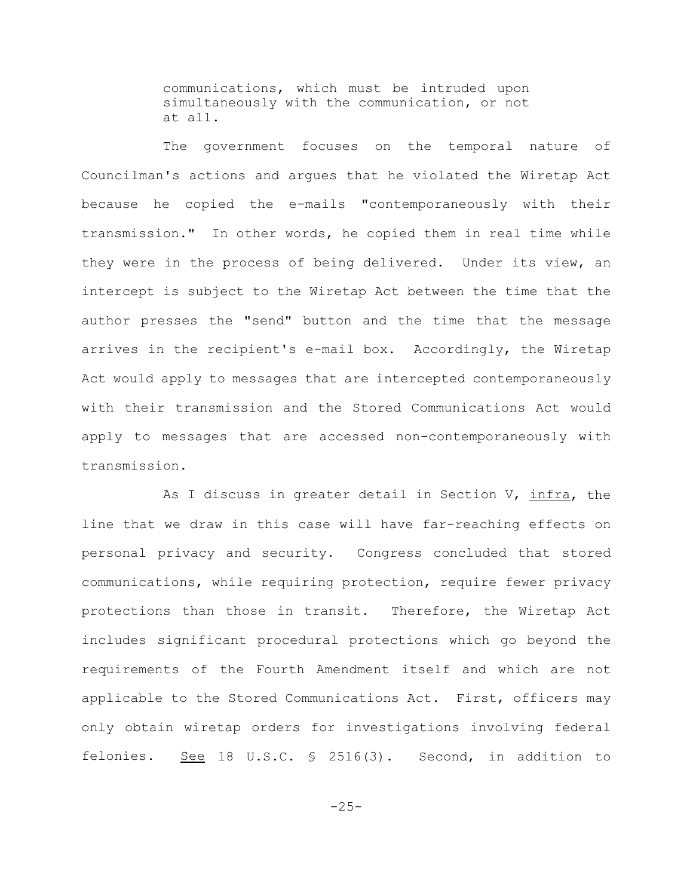communications, which must be intruded upon simultaneously with the communication, or not at all.

The government focuses on the temporal nature of Councilman's actions and argues that he violated the Wiretap Act because he copied the e-mails "contemporaneously with their transmission." In other words, he copied them in real time while they were in the process of being delivered. Under its view, an intercept is subject to the Wiretap Act between the time that the author presses the "send" button and the time that the message arrives in the recipient's e-mail box. Accordingly, the Wiretap Act would apply to messages that are intercepted contemporaneously with their transmission and the Stored Communications Act would apply to messages that are accessed non-contemporaneously with transmission.

As I discuss in greater detail in Section V, infra, the line that we draw in this case will have far-reaching effects on personal privacy and security. Congress concluded that stored communications, while requiring protection, require fewer privacy protections than those in transit. Therefore, the Wiretap Act includes significant procedural protections which go beyond the requirements of the Fourth Amendment itself and which are not applicable to the Stored Communications Act. First, officers may only obtain wiretap orders for investigations involving federal felonies. See 18 U.S.C. § 2516(3). Second, in addition to

-25-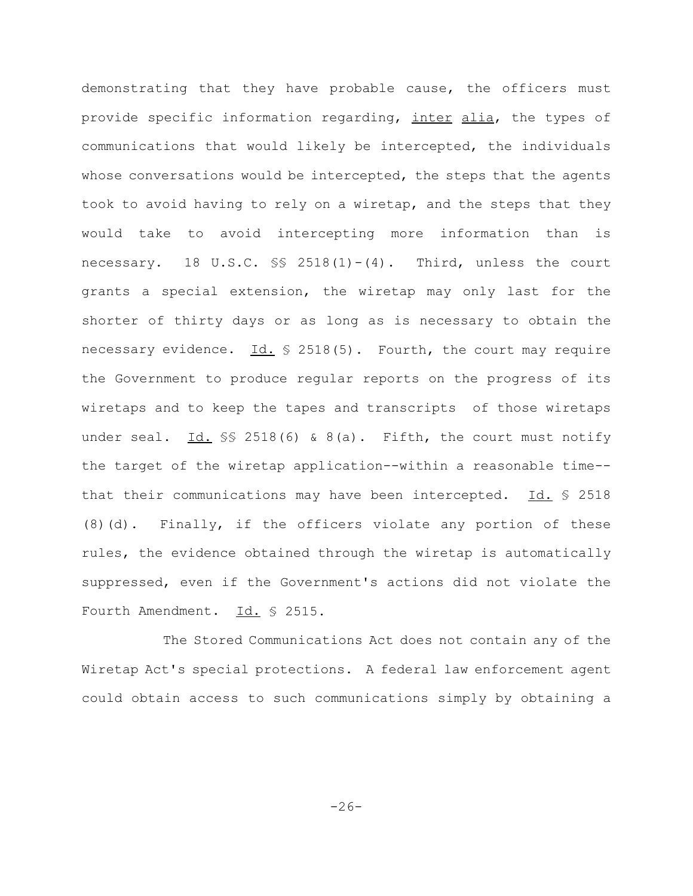demonstrating that they have probable cause, the officers must provide specific information regarding, inter alia, the types of communications that would likely be intercepted, the individuals whose conversations would be intercepted, the steps that the agents took to avoid having to rely on a wiretap, and the steps that they would take to avoid intercepting more information than is necessary. 18 U.S.C.  $\S$  2518(1)-(4). Third, unless the court grants a special extension, the wiretap may only last for the shorter of thirty days or as long as is necessary to obtain the necessary evidence.  $Id. \$  2518(5). Fourth, the court may require the Government to produce regular reports on the progress of its wiretaps and to keep the tapes and transcripts of those wiretaps under seal. Id.  $\S$  2518(6) & 8(a). Fifth, the court must notify the target of the wiretap application--within a reasonable time- that their communications may have been intercepted.  $Id. \$  2518 (8)(d). Finally, if the officers violate any portion of these rules, the evidence obtained through the wiretap is automatically suppressed, even if the Government's actions did not violate the Fourth Amendment. Id. § 2515.

The Stored Communications Act does not contain any of the Wiretap Act's special protections. A federal law enforcement agent could obtain access to such communications simply by obtaining a

-26-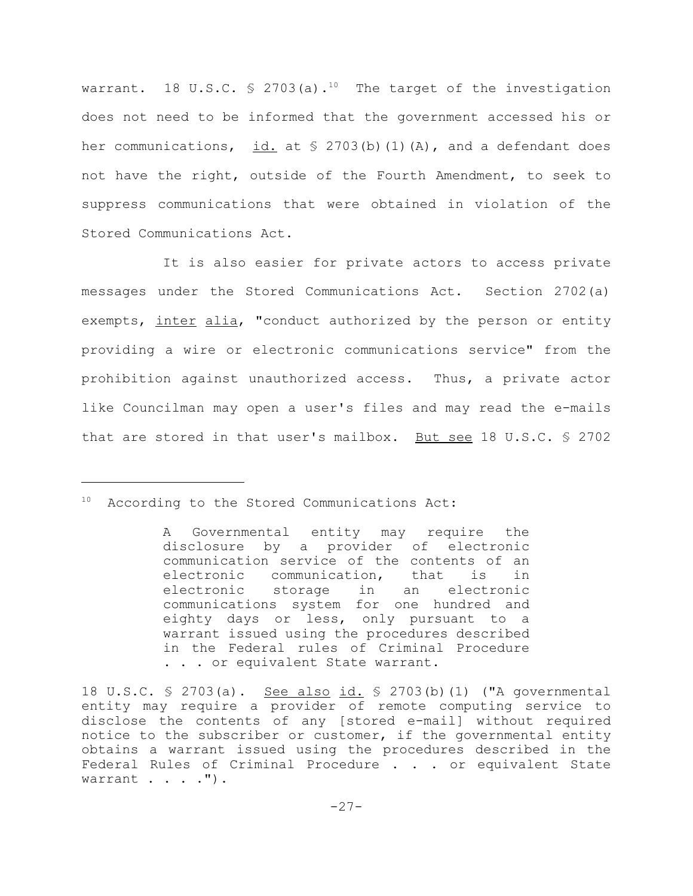warrant. 18 U.S.C.  $\frac{1}{2}$  2703(a).<sup>10</sup> The target of the investigation does not need to be informed that the government accessed his or her communications, id. at  $\frac{1}{2}$  2703(b)(1)(A), and a defendant does not have the right, outside of the Fourth Amendment, to seek to suppress communications that were obtained in violation of the Stored Communications Act.

It is also easier for private actors to access private messages under the Stored Communications Act. Section 2702(a) exempts, inter alia, "conduct authorized by the person or entity providing a wire or electronic communications service" from the prohibition against unauthorized access. Thus, a private actor like Councilman may open a user's files and may read the e-mails that are stored in that user's mailbox. But see 18 U.S.C. § 2702

<sup>&</sup>lt;sup>10</sup> According to the Stored Communications Act:

A Governmental entity may require the disclosure by a provider of electronic communication service of the contents of an electronic communication, that is in electronic storage in an electronic communications system for one hundred and eighty days or less, only pursuant to a warrant issued using the procedures described in the Federal rules of Criminal Procedure . . . or equivalent State warrant.

<sup>18</sup> U.S.C. § 2703(a). See also id. § 2703(b)(1) ("A governmental entity may require a provider of remote computing service to disclose the contents of any [stored e-mail] without required notice to the subscriber or customer, if the governmental entity obtains a warrant issued using the procedures described in the Federal Rules of Criminal Procedure . . . or equivalent State warrant . . . . ").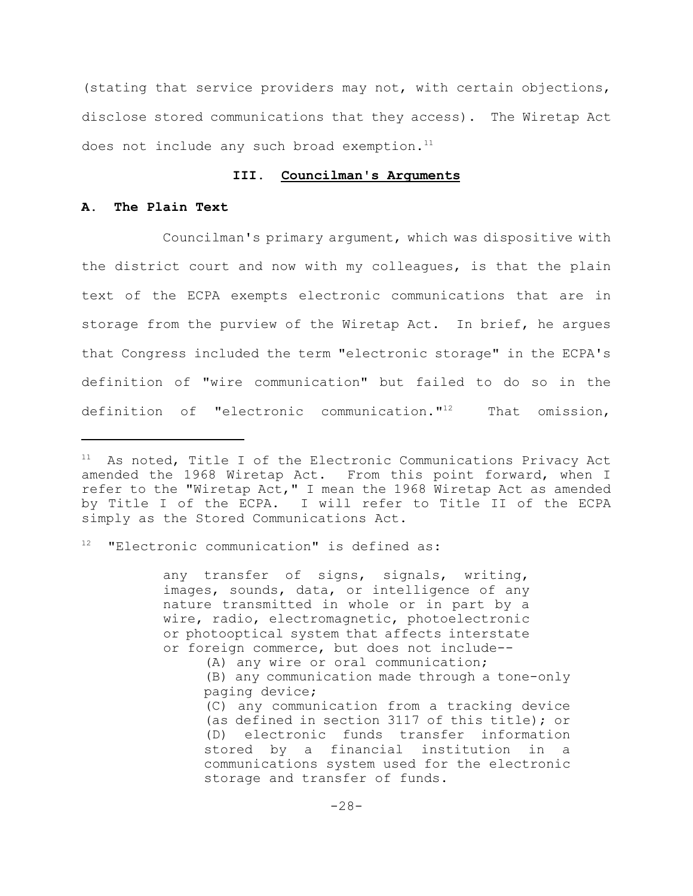(stating that service providers may not, with certain objections, disclose stored communications that they access). The Wiretap Act does not include any such broad exemption. $11$ 

## **III. Councilman's Arguments**

# **A. The Plain Text**

Councilman's primary argument, which was dispositive with the district court and now with my colleagues, is that the plain text of the ECPA exempts electronic communications that are in storage from the purview of the Wiretap Act. In brief, he argues that Congress included the term "electronic storage" in the ECPA's definition of "wire communication" but failed to do so in the definition of "electronic communication."<sup>12</sup> That omission,

"Electronic communication" is defined as:

any transfer of signs, signals, writing, images, sounds, data, or intelligence of any nature transmitted in whole or in part by a wire, radio, electromagnetic, photoelectronic or photooptical system that affects interstate or foreign commerce, but does not include--

(A) any wire or oral communication;

(B) any communication made through a tone-only paging device;

(C) any communication from a tracking device (as defined in section 3117 of this title); or (D) electronic funds transfer information stored by a financial institution in a communications system used for the electronic storage and transfer of funds.

As noted, Title I of the Electronic Communications Privacy Act amended the 1968 Wiretap Act. From this point forward, when I refer to the "Wiretap Act," I mean the 1968 Wiretap Act as amended by Title I of the ECPA. I will refer to Title II of the ECPA simply as the Stored Communications Act.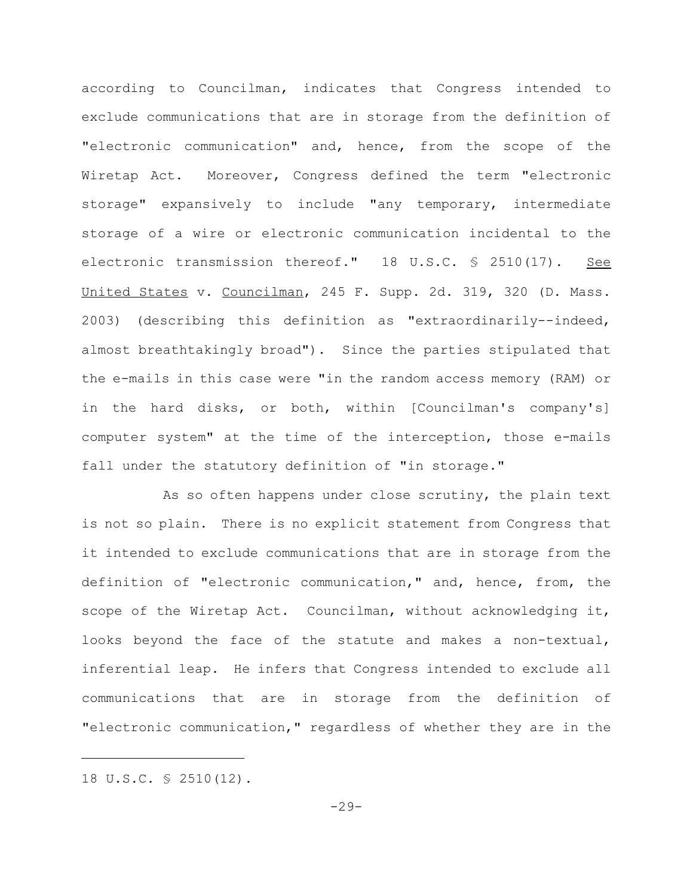according to Councilman, indicates that Congress intended to exclude communications that are in storage from the definition of "electronic communication" and, hence, from the scope of the Wiretap Act. Moreover, Congress defined the term "electronic storage" expansively to include "any temporary, intermediate storage of a wire or electronic communication incidental to the electronic transmission thereof." 18 U.S.C. § 2510(17). See United States v. Councilman, 245 F. Supp. 2d. 319, 320 (D. Mass. 2003) (describing this definition as "extraordinarily--indeed, almost breathtakingly broad"). Since the parties stipulated that the e-mails in this case were "in the random access memory (RAM) or in the hard disks, or both, within [Councilman's company's] computer system" at the time of the interception, those e-mails fall under the statutory definition of "in storage."

As so often happens under close scrutiny, the plain text is not so plain. There is no explicit statement from Congress that it intended to exclude communications that are in storage from the definition of "electronic communication," and, hence, from, the scope of the Wiretap Act. Councilman, without acknowledging it, looks beyond the face of the statute and makes a non-textual, inferential leap. He infers that Congress intended to exclude all communications that are in storage from the definition of "electronic communication," regardless of whether they are in the

<sup>18</sup> U.S.C. § 2510(12).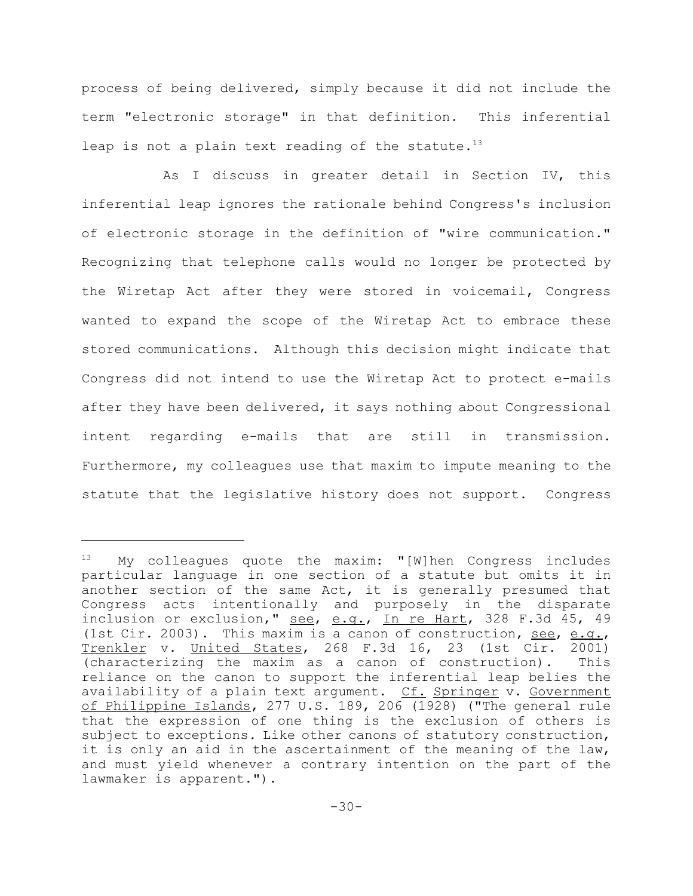process of being delivered, simply because it did not include the term "electronic storage" in that definition. This inferential leap is not a plain text reading of the statute.<sup>13</sup>

As I discuss in greater detail in Section IV, this inferential leap ignores the rationale behind Congress's inclusion of electronic storage in the definition of "wire communication." Recognizing that telephone calls would no longer be protected by the Wiretap Act after they were stored in voicemail, Congress wanted to expand the scope of the Wiretap Act to embrace these stored communications. Although this decision might indicate that Congress did not intend to use the Wiretap Act to protect e-mails after they have been delivered, it says nothing about Congressional intent regarding e-mails that are still in transmission. Furthermore, my colleagues use that maxim to impute meaning to the statute that the legislative history does not support. Congress

 $13$  My colleagues quote the maxim: "[W]hen Congress includes particular language in one section of a statute but omits it in another section of the same Act, it is generally presumed that Congress acts intentionally and purposely in the disparate inclusion or exclusion," see, e.g., In re Hart, 328 F.3d 45, 49 (1st Cir. 2003). This maxim is a canon of construction, see, e.g., Trenkler v. United States, 268 F.3d 16, 23 (1st Cir. 2001) (characterizing the maxim as a canon of construction). This reliance on the canon to support the inferential leap belies the availability of a plain text argument. Cf. Springer v. Government of Philippine Islands, 277 U.S. 189, 206 (1928) ("The general rule that the expression of one thing is the exclusion of others is subject to exceptions. Like other canons of statutory construction, it is only an aid in the ascertainment of the meaning of the law, and must yield whenever a contrary intention on the part of the lawmaker is apparent.").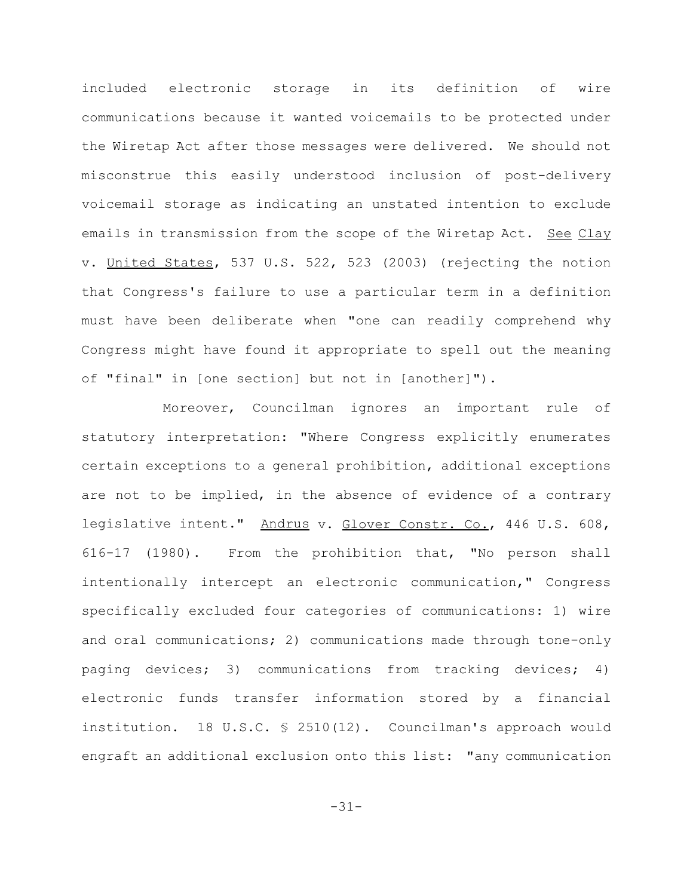included electronic storage in its definition of wire communications because it wanted voicemails to be protected under the Wiretap Act after those messages were delivered. We should not misconstrue this easily understood inclusion of post-delivery voicemail storage as indicating an unstated intention to exclude emails in transmission from the scope of the Wiretap Act. See Clay v. United States, 537 U.S. 522, 523 (2003) (rejecting the notion that Congress's failure to use a particular term in a definition must have been deliberate when "one can readily comprehend why Congress might have found it appropriate to spell out the meaning of "final" in [one section] but not in [another]").

Moreover, Councilman ignores an important rule of statutory interpretation: "Where Congress explicitly enumerates certain exceptions to a general prohibition, additional exceptions are not to be implied, in the absence of evidence of a contrary legislative intent." Andrus v. Glover Constr. Co., 446 U.S. 608, 616-17 (1980). From the prohibition that, "No person shall intentionally intercept an electronic communication," Congress specifically excluded four categories of communications: 1) wire and oral communications; 2) communications made through tone-only paging devices; 3) communications from tracking devices; 4) electronic funds transfer information stored by a financial institution. 18 U.S.C. § 2510(12). Councilman's approach would engraft an additional exclusion onto this list: "any communication

-31-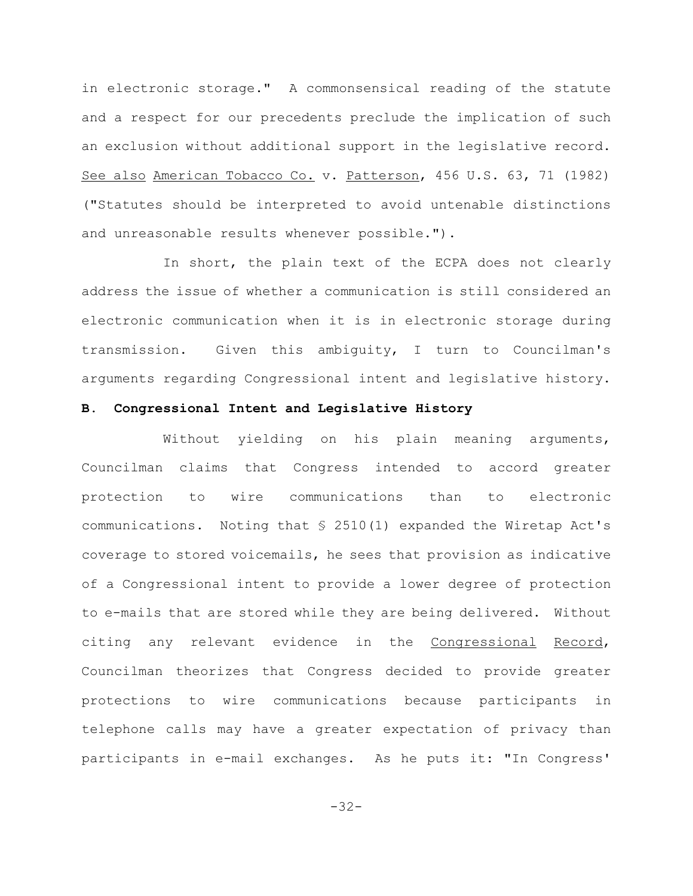in electronic storage." A commonsensical reading of the statute and a respect for our precedents preclude the implication of such an exclusion without additional support in the legislative record. See also American Tobacco Co. v. Patterson, 456 U.S. 63, 71 (1982) ("Statutes should be interpreted to avoid untenable distinctions and unreasonable results whenever possible.").

In short, the plain text of the ECPA does not clearly address the issue of whether a communication is still considered an electronic communication when it is in electronic storage during transmission. Given this ambiguity, I turn to Councilman's arguments regarding Congressional intent and legislative history.

## **B. Congressional Intent and Legislative History**

Without yielding on his plain meaning arguments, Councilman claims that Congress intended to accord greater protection to wire communications than to electronic communications. Noting that § 2510(1) expanded the Wiretap Act's coverage to stored voicemails, he sees that provision as indicative of a Congressional intent to provide a lower degree of protection to e-mails that are stored while they are being delivered. Without citing any relevant evidence in the Congressional Record, Councilman theorizes that Congress decided to provide greater protections to wire communications because participants in telephone calls may have a greater expectation of privacy than participants in e-mail exchanges. As he puts it: "In Congress'

-32-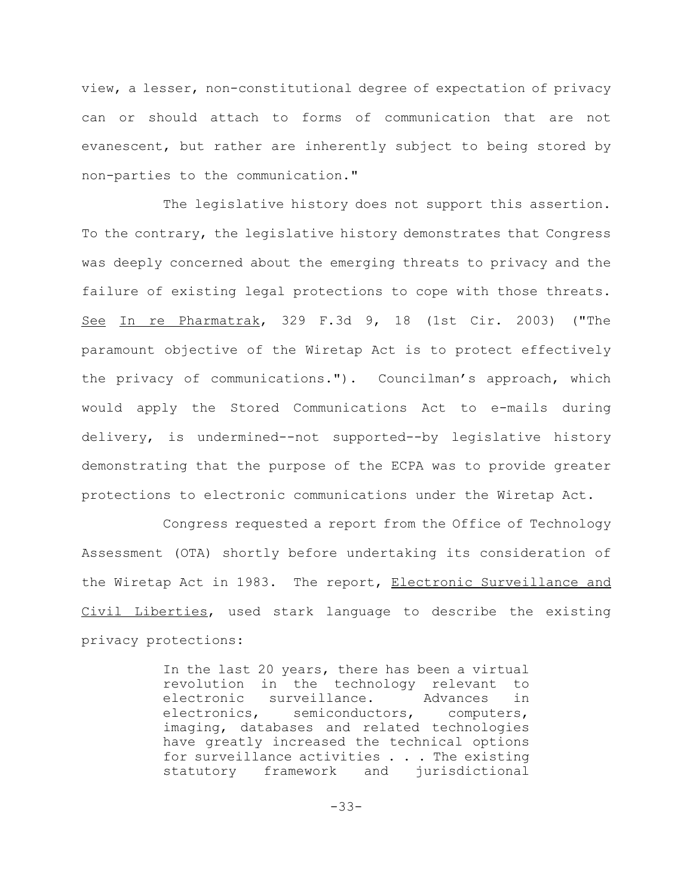view, a lesser, non-constitutional degree of expectation of privacy can or should attach to forms of communication that are not evanescent, but rather are inherently subject to being stored by non-parties to the communication."

The legislative history does not support this assertion. To the contrary, the legislative history demonstrates that Congress was deeply concerned about the emerging threats to privacy and the failure of existing legal protections to cope with those threats. See In re Pharmatrak, 329 F.3d 9, 18 (1st Cir. 2003) ("The paramount objective of the Wiretap Act is to protect effectively the privacy of communications."). Councilman's approach, which would apply the Stored Communications Act to e-mails during delivery, is undermined--not supported--by legislative history demonstrating that the purpose of the ECPA was to provide greater protections to electronic communications under the Wiretap Act.

Congress requested a report from the Office of Technology Assessment (OTA) shortly before undertaking its consideration of the Wiretap Act in 1983. The report, Electronic Surveillance and Civil Liberties, used stark language to describe the existing privacy protections:

> In the last 20 years, there has been a virtual revolution in the technology relevant to electronic surveillance. Advances in electronics, semiconductors, computers, imaging, databases and related technologies have greatly increased the technical options for surveillance activities . . . The existing statutory framework and jurisdictional

> > -33-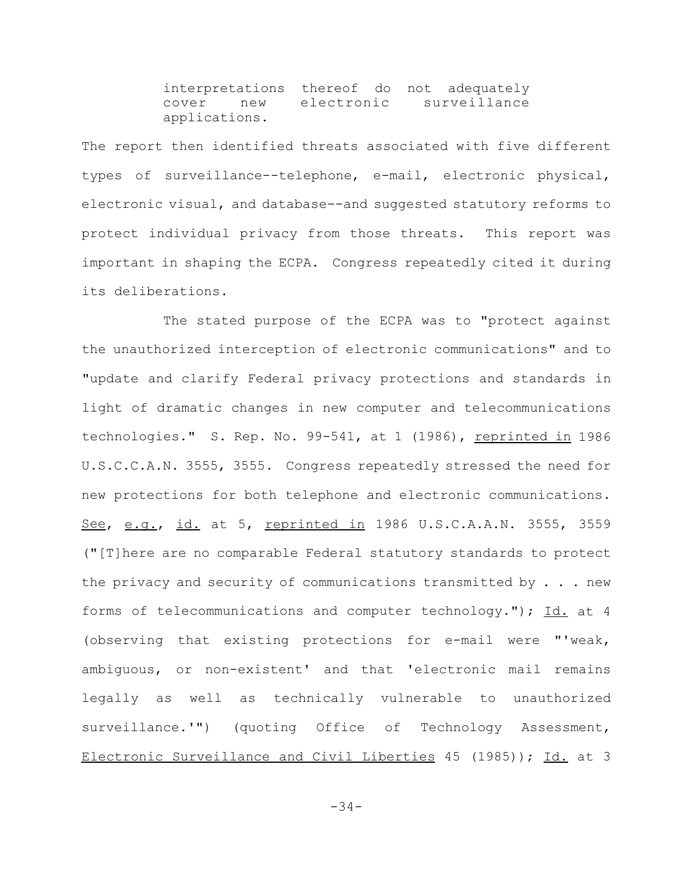interpretations thereof do not adequately cover new electronic surveillance applications.

The report then identified threats associated with five different types of surveillance--telephone, e-mail, electronic physical, electronic visual, and database--and suggested statutory reforms to protect individual privacy from those threats. This report was important in shaping the ECPA. Congress repeatedly cited it during its deliberations.

The stated purpose of the ECPA was to "protect against the unauthorized interception of electronic communications" and to "update and clarify Federal privacy protections and standards in light of dramatic changes in new computer and telecommunications technologies." S. Rep. No. 99-541, at 1 (1986), reprinted in 1986 U.S.C.C.A.N. 3555, 3555. Congress repeatedly stressed the need for new protections for both telephone and electronic communications. See, e.g., id. at 5, reprinted in 1986 U.S.C.A.A.N. 3555, 3559 ("[T]here are no comparable Federal statutory standards to protect the privacy and security of communications transmitted by  $\ldots$  . new forms of telecommunications and computer technology."); Id. at 4 (observing that existing protections for e-mail were "'weak, ambiguous, or non-existent' and that 'electronic mail remains legally as well as technically vulnerable to unauthorized surveillance.'") (quoting Office of Technology Assessment, Electronic Surveillance and Civil Liberties 45 (1985)); Id. at 3

-34-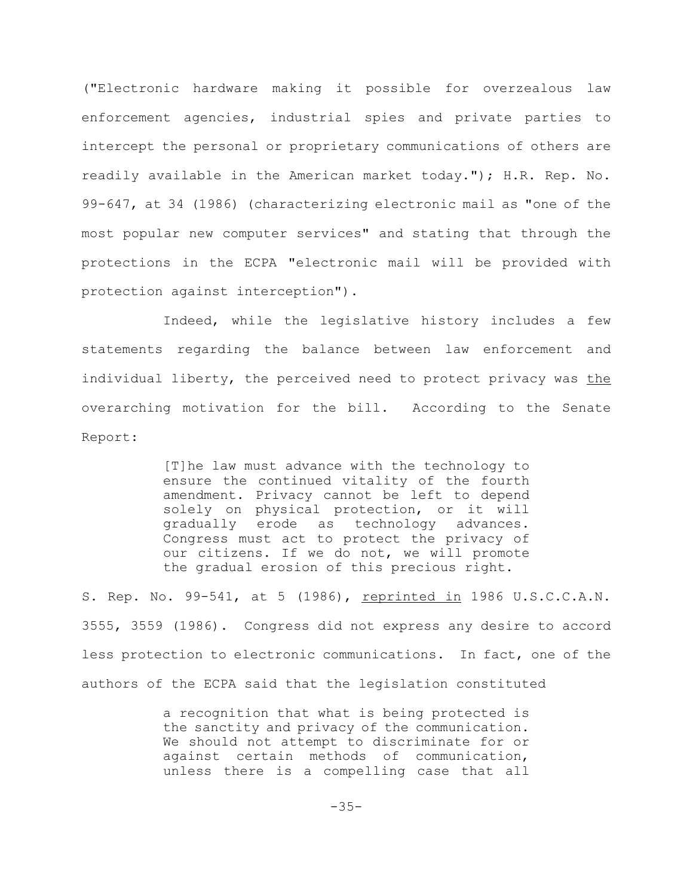("Electronic hardware making it possible for overzealous law enforcement agencies, industrial spies and private parties to intercept the personal or proprietary communications of others are readily available in the American market today."); H.R. Rep. No. 99-647, at 34 (1986) (characterizing electronic mail as "one of the most popular new computer services" and stating that through the protections in the ECPA "electronic mail will be provided with protection against interception").

Indeed, while the legislative history includes a few statements regarding the balance between law enforcement and individual liberty, the perceived need to protect privacy was the overarching motivation for the bill. According to the Senate Report:

> [T]he law must advance with the technology to ensure the continued vitality of the fourth amendment. Privacy cannot be left to depend solely on physical protection, or it will gradually erode as technology advances. Congress must act to protect the privacy of our citizens. If we do not, we will promote the gradual erosion of this precious right.

S. Rep. No. 99-541, at 5 (1986), reprinted in 1986 U.S.C.C.A.N. 3555, 3559 (1986). Congress did not express any desire to accord less protection to electronic communications. In fact, one of the authors of the ECPA said that the legislation constituted

> a recognition that what is being protected is the sanctity and privacy of the communication. We should not attempt to discriminate for or against certain methods of communication, unless there is a compelling case that all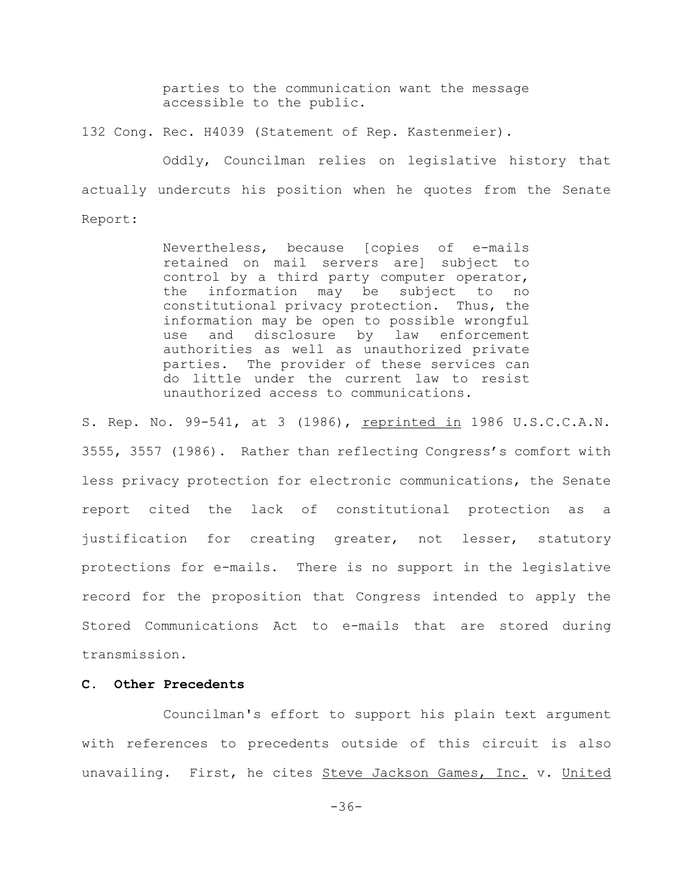parties to the communication want the message accessible to the public.

132 Cong. Rec. H4039 (Statement of Rep. Kastenmeier).

Oddly, Councilman relies on legislative history that actually undercuts his position when he quotes from the Senate Report:

> Nevertheless, because [copies of e-mails retained on mail servers are] subject to control by a third party computer operator, the information may be subject to no constitutional privacy protection. Thus, the information may be open to possible wrongful use and disclosure by law enforcement authorities as well as unauthorized private parties. The provider of these services can do little under the current law to resist unauthorized access to communications.

S. Rep. No. 99-541, at 3 (1986), reprinted in 1986 U.S.C.C.A.N. 3555, 3557 (1986). Rather than reflecting Congress's comfort with less privacy protection for electronic communications, the Senate report cited the lack of constitutional protection as a justification for creating greater, not lesser, statutory protections for e-mails. There is no support in the legislative record for the proposition that Congress intended to apply the Stored Communications Act to e-mails that are stored during transmission.

# **C. Other Precedents**

Councilman's effort to support his plain text argument with references to precedents outside of this circuit is also unavailing. First, he cites Steve Jackson Games, Inc. v. United

-36-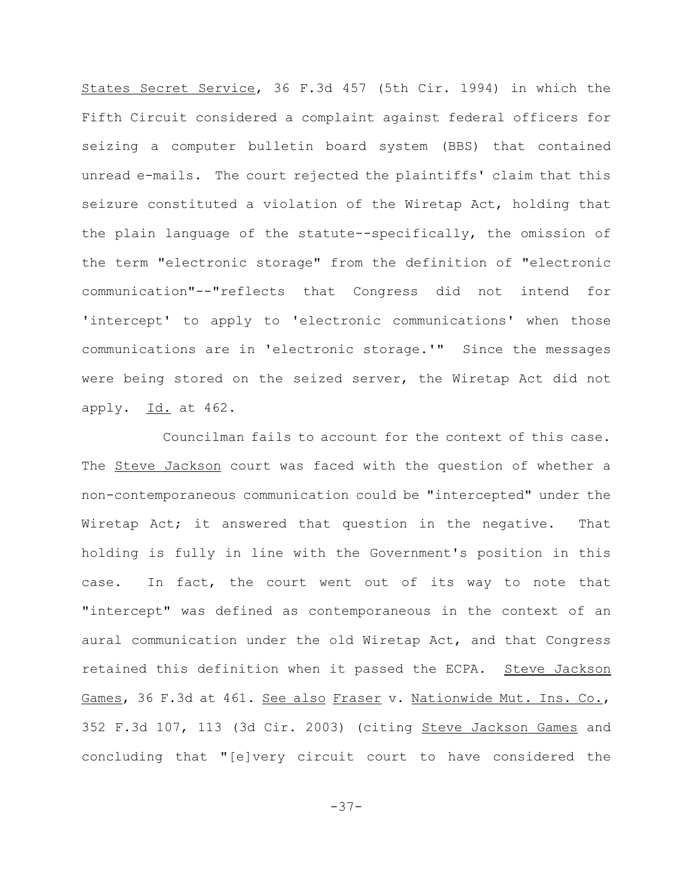States Secret Service, 36 F.3d 457 (5th Cir. 1994) in which the Fifth Circuit considered a complaint against federal officers for seizing a computer bulletin board system (BBS) that contained unread e-mails. The court rejected the plaintiffs' claim that this seizure constituted a violation of the Wiretap Act, holding that the plain language of the statute--specifically, the omission of the term "electronic storage" from the definition of "electronic communication"--"reflects that Congress did not intend for 'intercept' to apply to 'electronic communications' when those communications are in 'electronic storage.'" Since the messages were being stored on the seized server, the Wiretap Act did not apply. Id. at 462.

Councilman fails to account for the context of this case. The Steve Jackson court was faced with the question of whether a non-contemporaneous communication could be "intercepted" under the Wiretap Act; it answered that question in the negative. That holding is fully in line with the Government's position in this case. In fact, the court went out of its way to note that "intercept" was defined as contemporaneous in the context of an aural communication under the old Wiretap Act, and that Congress retained this definition when it passed the ECPA. Steve Jackson Games, 36 F.3d at 461. See also Fraser v. Nationwide Mut. Ins. Co., 352 F.3d 107, 113 (3d Cir. 2003) (citing Steve Jackson Games and concluding that "[e]very circuit court to have considered the

-37-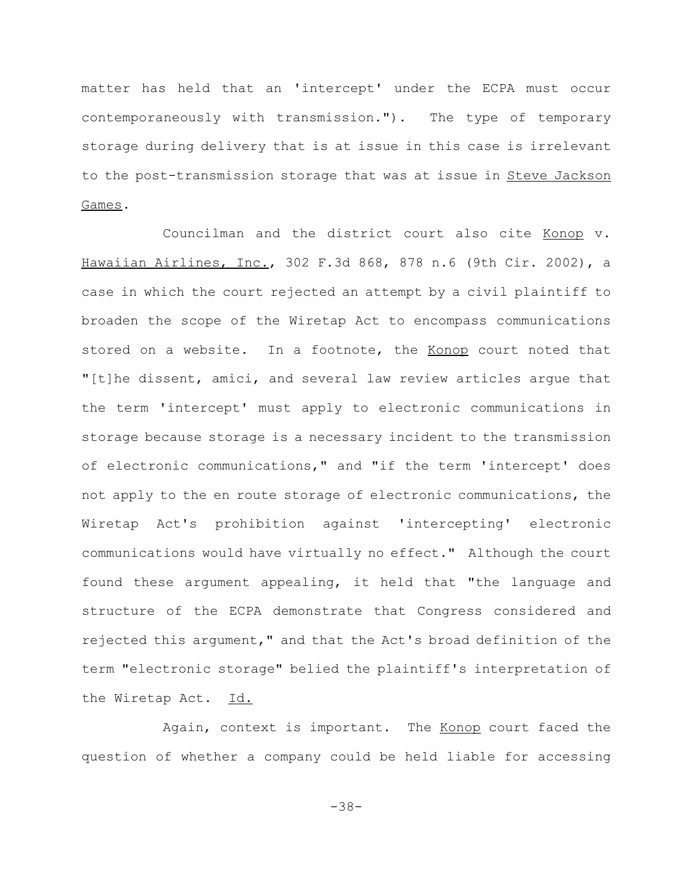matter has held that an 'intercept' under the ECPA must occur contemporaneously with transmission."). The type of temporary storage during delivery that is at issue in this case is irrelevant to the post-transmission storage that was at issue in Steve Jackson Games.

Councilman and the district court also cite Konop v. Hawaiian Airlines, Inc., 302 F.3d 868, 878 n.6 (9th Cir. 2002), a case in which the court rejected an attempt by a civil plaintiff to broaden the scope of the Wiretap Act to encompass communications stored on a website. In a footnote, the Konop court noted that "[t]he dissent, amici, and several law review articles argue that the term 'intercept' must apply to electronic communications in storage because storage is a necessary incident to the transmission of electronic communications," and "if the term 'intercept' does not apply to the en route storage of electronic communications, the Wiretap Act's prohibition against 'intercepting' electronic communications would have virtually no effect." Although the court found these argument appealing, it held that "the language and structure of the ECPA demonstrate that Congress considered and rejected this argument," and that the Act's broad definition of the term "electronic storage" belied the plaintiff's interpretation of the Wiretap Act. Id.

Again, context is important. The Konop court faced the question of whether a company could be held liable for accessing

-38-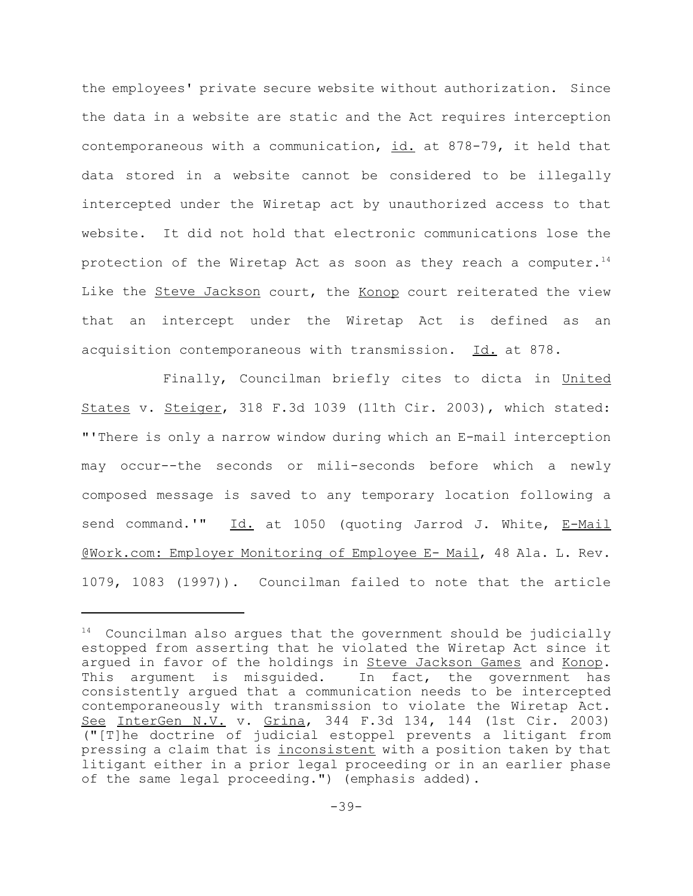the employees' private secure website without authorization. Since the data in a website are static and the Act requires interception contemporaneous with a communication, id. at 878-79, it held that data stored in a website cannot be considered to be illegally intercepted under the Wiretap act by unauthorized access to that website. It did not hold that electronic communications lose the protection of the Wiretap Act as soon as they reach a computer. $14$ Like the Steve Jackson court, the Konop court reiterated the view that an intercept under the Wiretap Act is defined as an acquisition contemporaneous with transmission. Id. at 878.

Finally, Councilman briefly cites to dicta in United States v. Steiger, 318 F.3d 1039 (11th Cir. 2003), which stated: "'There is only a narrow window during which an E-mail interception may occur--the seconds or mili-seconds before which a newly composed message is saved to any temporary location following a send command.'" Id. at 1050 (quoting Jarrod J. White, E-Mail @Work.com: Employer Monitoring of Employee E- Mail, 48 Ala. L. Rev. 1079, 1083 (1997)). Councilman failed to note that the article

 $14$  Councilman also argues that the government should be judicially estopped from asserting that he violated the Wiretap Act since it argued in favor of the holdings in Steve Jackson Games and Konop. This argument is misguided. In fact, the government has consistently argued that a communication needs to be intercepted contemporaneously with transmission to violate the Wiretap Act. See InterGen N.V. v. Grina, 344 F.3d 134, 144 (1st Cir. 2003) ("[T]he doctrine of judicial estoppel prevents a litigant from pressing a claim that is inconsistent with a position taken by that litigant either in a prior legal proceeding or in an earlier phase of the same legal proceeding.") (emphasis added).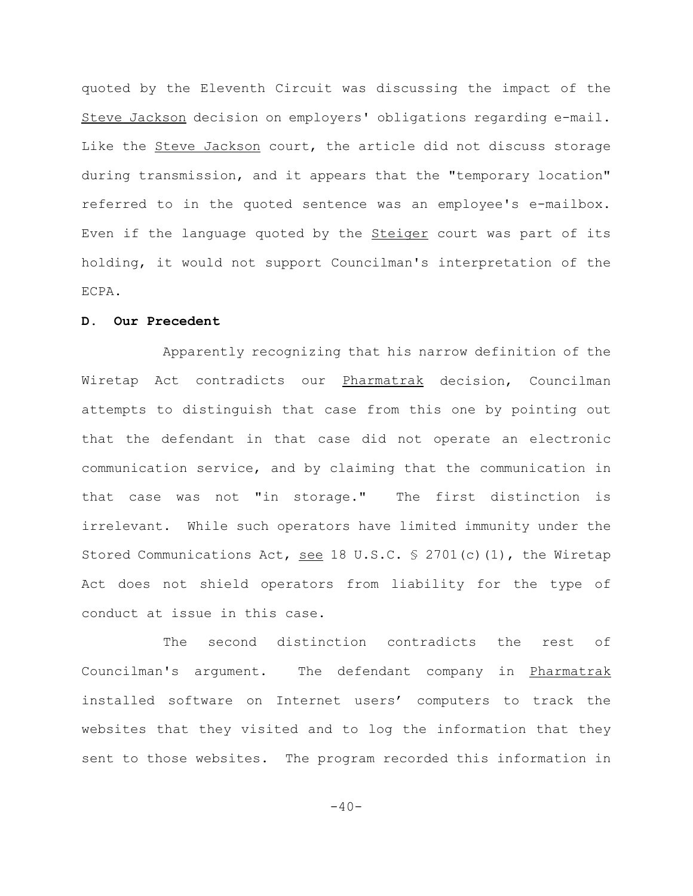quoted by the Eleventh Circuit was discussing the impact of the Steve Jackson decision on employers' obligations regarding e-mail. Like the Steve Jackson court, the article did not discuss storage during transmission, and it appears that the "temporary location" referred to in the quoted sentence was an employee's e-mailbox. Even if the language quoted by the **Steiger** court was part of its holding, it would not support Councilman's interpretation of the ECPA.

## **D. Our Precedent**

Apparently recognizing that his narrow definition of the Wiretap Act contradicts our Pharmatrak decision, Councilman attempts to distinguish that case from this one by pointing out that the defendant in that case did not operate an electronic communication service, and by claiming that the communication in that case was not "in storage." The first distinction is irrelevant. While such operators have limited immunity under the Stored Communications Act, see 18 U.S.C.  $\frac{1}{2}$  2701(c)(1), the Wiretap Act does not shield operators from liability for the type of conduct at issue in this case.

The second distinction contradicts the rest of Councilman's argument. The defendant company in Pharmatrak installed software on Internet users' computers to track the websites that they visited and to log the information that they sent to those websites. The program recorded this information in

 $-40-$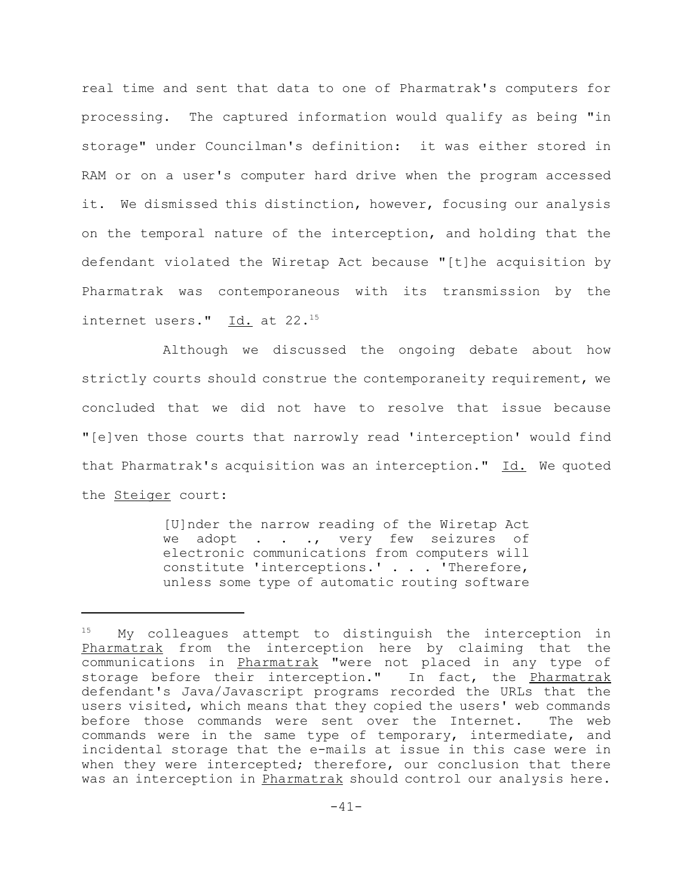real time and sent that data to one of Pharmatrak's computers for processing. The captured information would qualify as being "in storage" under Councilman's definition: it was either stored in RAM or on a user's computer hard drive when the program accessed it. We dismissed this distinction, however, focusing our analysis on the temporal nature of the interception, and holding that the defendant violated the Wiretap Act because "[t]he acquisition by Pharmatrak was contemporaneous with its transmission by the internet users." Id. at 22.<sup>15</sup>

Although we discussed the ongoing debate about how strictly courts should construe the contemporaneity requirement, we concluded that we did not have to resolve that issue because "[e]ven those courts that narrowly read 'interception' would find that Pharmatrak's acquisition was an interception."  $\underline{Id.}$  We quoted the **Steiger** court:

> [U]nder the narrow reading of the Wiretap Act we adopt . . ., very few seizures of electronic communications from computers will constitute 'interceptions.' . . . 'Therefore, unless some type of automatic routing software

 $15$  My colleagues attempt to distinguish the interception in Pharmatrak from the interception here by claiming that the communications in Pharmatrak "were not placed in any type of storage before their interception." In fact, the Pharmatrak defendant's Java/Javascript programs recorded the URLs that the users visited, which means that they copied the users' web commands before those commands were sent over the Internet. The web commands were in the same type of temporary, intermediate, and incidental storage that the e-mails at issue in this case were in when they were intercepted; therefore, our conclusion that there was an interception in Pharmatrak should control our analysis here.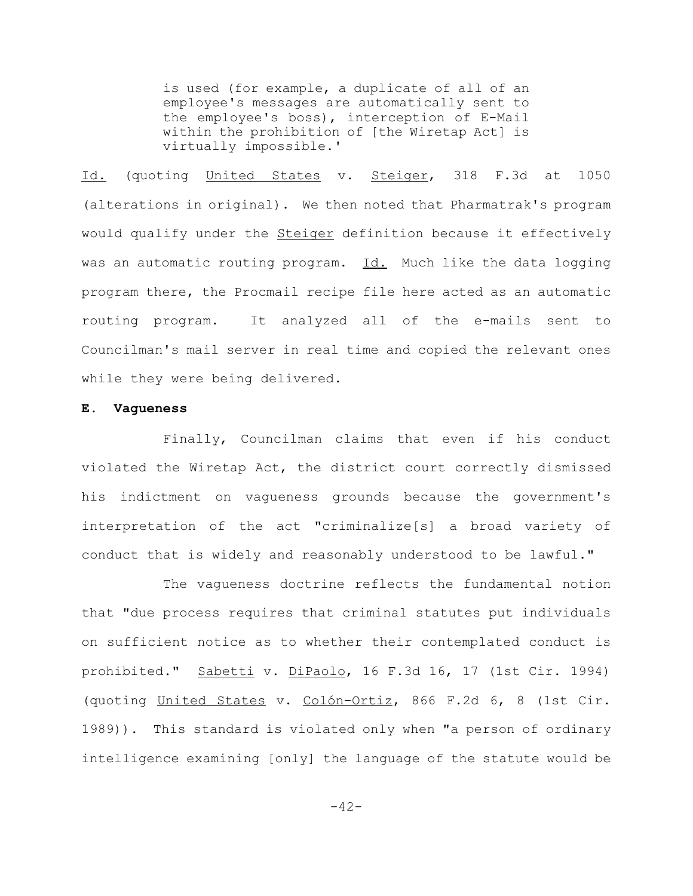is used (for example, a duplicate of all of an employee's messages are automatically sent to the employee's boss), interception of E-Mail within the prohibition of [the Wiretap Act] is virtually impossible.'

Id. (quoting United States v. Steiger, 318 F.3d at 1050 (alterations in original). We then noted that Pharmatrak's program would qualify under the **Steiger** definition because it effectively was an automatic routing program. Id. Much like the data logging program there, the Procmail recipe file here acted as an automatic routing program. It analyzed all of the e-mails sent to Councilman's mail server in real time and copied the relevant ones while they were being delivered.

## **E. Vagueness**

Finally, Councilman claims that even if his conduct violated the Wiretap Act, the district court correctly dismissed his indictment on vagueness grounds because the government's interpretation of the act "criminalize[s] a broad variety of conduct that is widely and reasonably understood to be lawful."

The vagueness doctrine reflects the fundamental notion that "due process requires that criminal statutes put individuals on sufficient notice as to whether their contemplated conduct is prohibited." Sabetti v. DiPaolo, 16 F.3d 16, 17 (1st Cir. 1994) (quoting United States v. Colón-Ortiz, 866 F.2d 6, 8 (1st Cir. 1989)). This standard is violated only when "a person of ordinary intelligence examining [only] the language of the statute would be

 $-42-$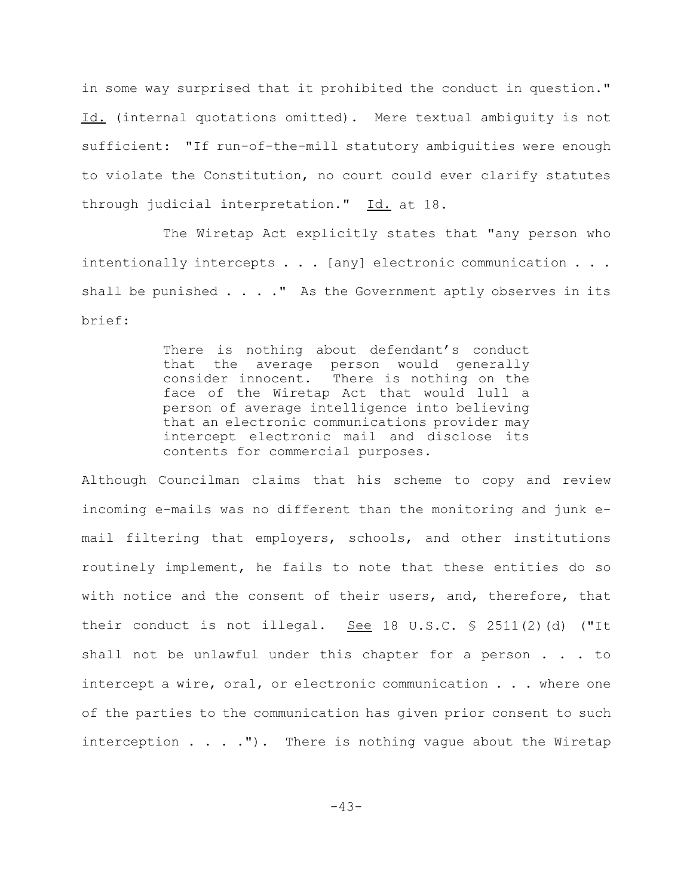in some way surprised that it prohibited the conduct in question." Id. (internal quotations omitted). Mere textual ambiguity is not sufficient: "If run-of-the-mill statutory ambiguities were enough to violate the Constitution, no court could ever clarify statutes through judicial interpretation." Id. at 18.

The Wiretap Act explicitly states that "any person who intentionally intercepts . . . [any] electronic communication . . . shall be punished  $\ldots$  ." As the Government aptly observes in its brief:

> There is nothing about defendant's conduct that the average person would generally consider innocent. There is nothing on the face of the Wiretap Act that would lull a person of average intelligence into believing that an electronic communications provider may intercept electronic mail and disclose its contents for commercial purposes.

Although Councilman claims that his scheme to copy and review incoming e-mails was no different than the monitoring and junk email filtering that employers, schools, and other institutions routinely implement, he fails to note that these entities do so with notice and the consent of their users, and, therefore, that their conduct is not illegal. See 18 U.S.C.  $\frac{1}{2}$  2511(2)(d) ("It shall not be unlawful under this chapter for a person . . . to intercept a wire, oral, or electronic communication . . . where one of the parties to the communication has given prior consent to such interception  $\ldots$   $\ldots$  "). There is nothing vague about the Wiretap

-43-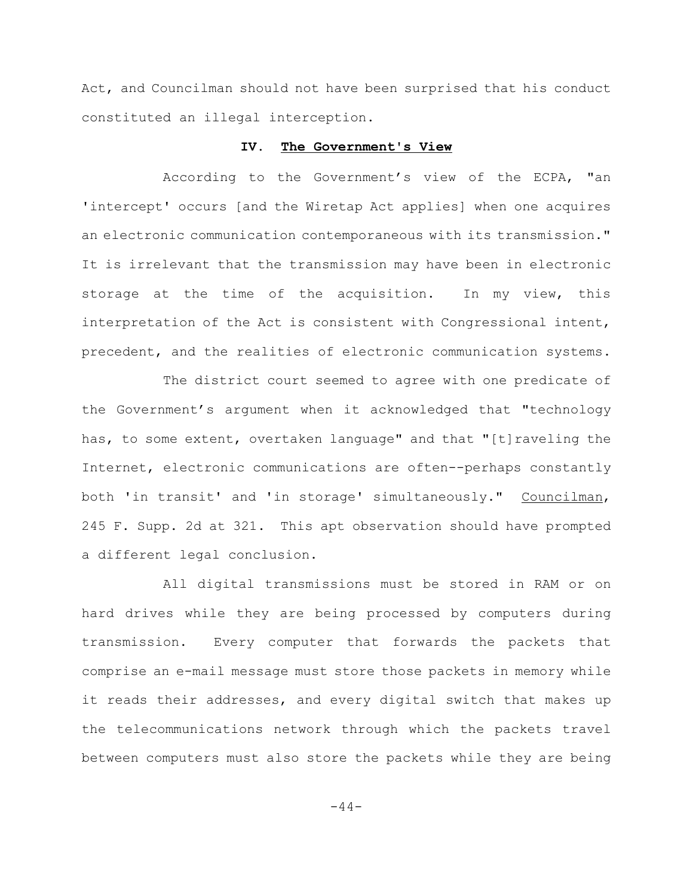Act, and Councilman should not have been surprised that his conduct constituted an illegal interception.

#### **IV. The Government's View**

According to the Government's view of the ECPA, "an 'intercept' occurs [and the Wiretap Act applies] when one acquires an electronic communication contemporaneous with its transmission." It is irrelevant that the transmission may have been in electronic storage at the time of the acquisition. In my view, this interpretation of the Act is consistent with Congressional intent, precedent, and the realities of electronic communication systems.

The district court seemed to agree with one predicate of the Government's argument when it acknowledged that "technology has, to some extent, overtaken language" and that "[t]raveling the Internet, electronic communications are often--perhaps constantly both 'in transit' and 'in storage' simultaneously." Councilman, 245 F. Supp. 2d at 321. This apt observation should have prompted a different legal conclusion.

All digital transmissions must be stored in RAM or on hard drives while they are being processed by computers during transmission. Every computer that forwards the packets that comprise an e-mail message must store those packets in memory while it reads their addresses, and every digital switch that makes up the telecommunications network through which the packets travel between computers must also store the packets while they are being

 $-44-$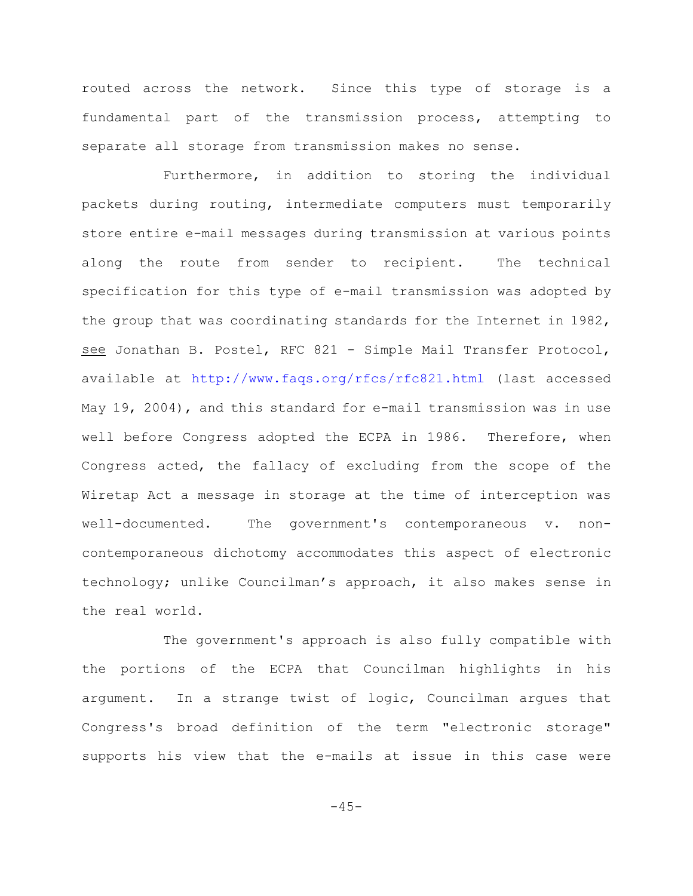routed across the network. Since this type of storage is a fundamental part of the transmission process, attempting to separate all storage from transmission makes no sense.

Furthermore, in addition to storing the individual packets during routing, intermediate computers must temporarily store entire e-mail messages during transmission at various points along the route from sender to recipient. The technical specification for this type of e-mail transmission was adopted by the group that was coordinating standards for the Internet in 1982, see Jonathan B. Postel, RFC 821 - Simple Mail Transfer Protocol, available at http://www.faqs.org/rfcs/rfc821.html (last accessed May 19, 2004), and this standard for e-mail transmission was in use well before Congress adopted the ECPA in 1986. Therefore, when Congress acted, the fallacy of excluding from the scope of the Wiretap Act a message in storage at the time of interception was well-documented. The government's contemporaneous v. noncontemporaneous dichotomy accommodates this aspect of electronic technology; unlike Councilman's approach, it also makes sense in the real world.

The government's approach is also fully compatible with the portions of the ECPA that Councilman highlights in his argument. In a strange twist of logic, Councilman argues that Congress's broad definition of the term "electronic storage" supports his view that the e-mails at issue in this case were

 $-45-$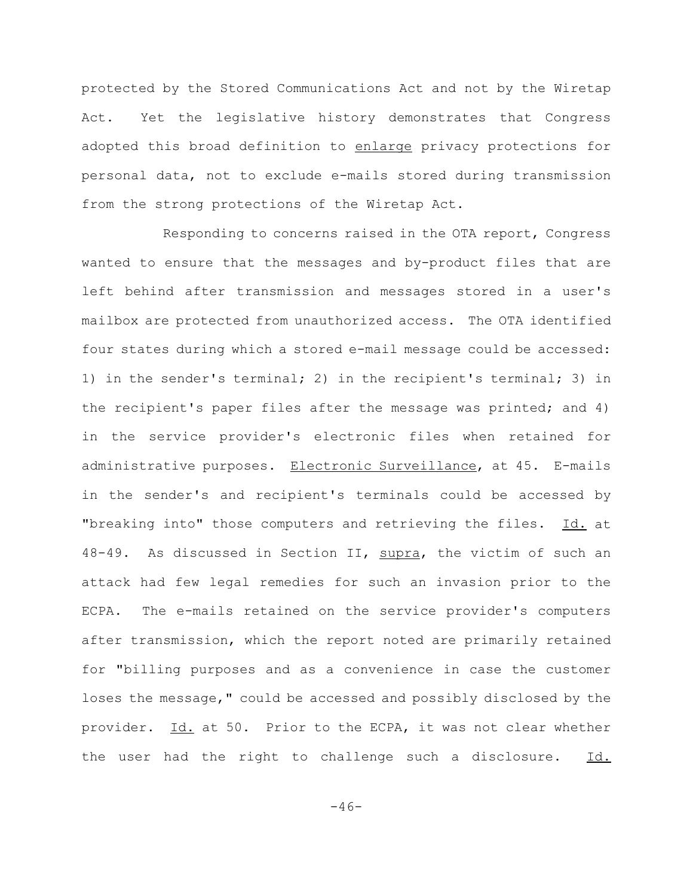protected by the Stored Communications Act and not by the Wiretap Act. Yet the legislative history demonstrates that Congress adopted this broad definition to enlarge privacy protections for personal data, not to exclude e-mails stored during transmission from the strong protections of the Wiretap Act.

Responding to concerns raised in the OTA report, Congress wanted to ensure that the messages and by-product files that are left behind after transmission and messages stored in a user's mailbox are protected from unauthorized access. The OTA identified four states during which a stored e-mail message could be accessed: 1) in the sender's terminal; 2) in the recipient's terminal; 3) in the recipient's paper files after the message was printed; and 4) in the service provider's electronic files when retained for administrative purposes. Electronic Surveillance, at 45. E-mails in the sender's and recipient's terminals could be accessed by "breaking into" those computers and retrieving the files. Id. at 48-49. As discussed in Section II, supra, the victim of such an attack had few legal remedies for such an invasion prior to the ECPA. The e-mails retained on the service provider's computers after transmission, which the report noted are primarily retained for "billing purposes and as a convenience in case the customer loses the message," could be accessed and possibly disclosed by the provider. Id. at 50. Prior to the ECPA, it was not clear whether the user had the right to challenge such a disclosure. Id.

 $-46-$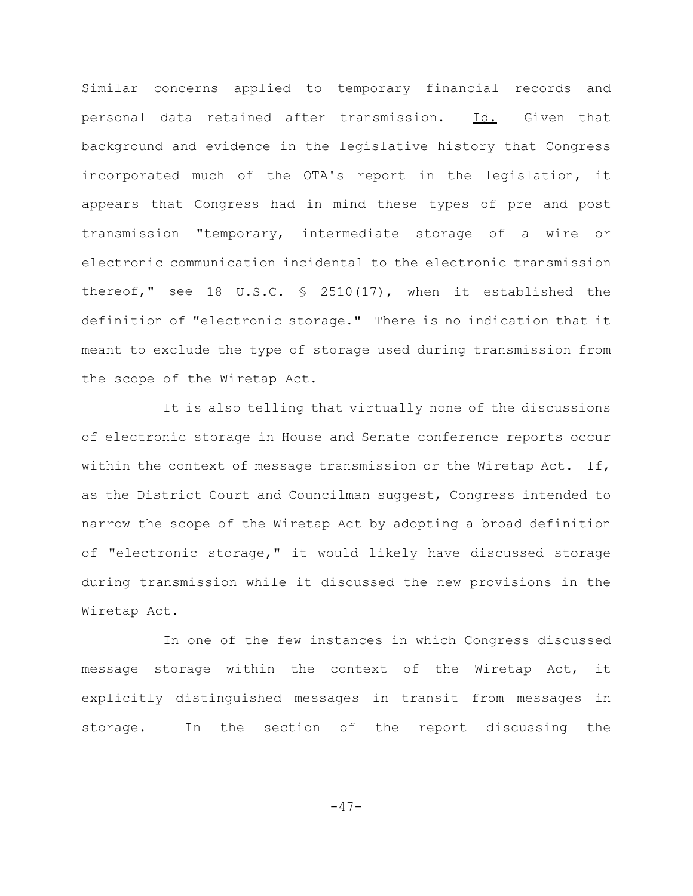Similar concerns applied to temporary financial records and personal data retained after transmission. Id. Given that background and evidence in the legislative history that Congress incorporated much of the OTA's report in the legislation, it appears that Congress had in mind these types of pre and post transmission "temporary, intermediate storage of a wire or electronic communication incidental to the electronic transmission thereof," see 18 U.S.C. § 2510(17), when it established the definition of "electronic storage." There is no indication that it meant to exclude the type of storage used during transmission from the scope of the Wiretap Act.

It is also telling that virtually none of the discussions of electronic storage in House and Senate conference reports occur within the context of message transmission or the Wiretap Act. If, as the District Court and Councilman suggest, Congress intended to narrow the scope of the Wiretap Act by adopting a broad definition of "electronic storage," it would likely have discussed storage during transmission while it discussed the new provisions in the Wiretap Act.

In one of the few instances in which Congress discussed message storage within the context of the Wiretap Act, it explicitly distinguished messages in transit from messages in storage. In the section of the report discussing the

-47-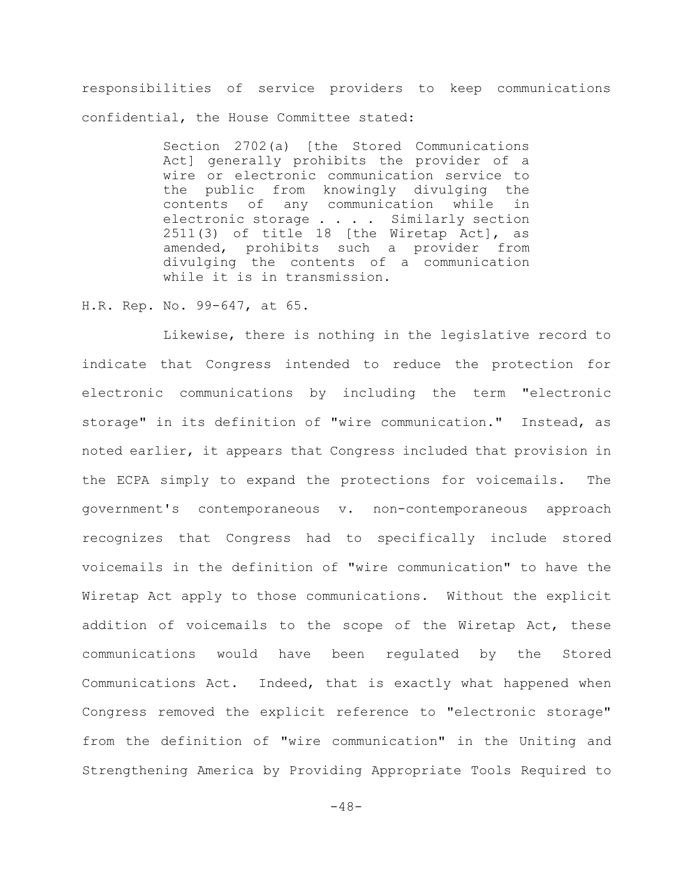responsibilities of service providers to keep communications confidential, the House Committee stated:

> Section 2702(a) [the Stored Communications Act] generally prohibits the provider of a wire or electronic communication service to the public from knowingly divulging the contents of any communication while in electronic storage . . . . Similarly section  $2511(3)$  of title 18 [the Wiretap Act], as amended, prohibits such a provider from divulging the contents of a communication while it is in transmission.

## H.R. Rep. No. 99-647, at 65.

Likewise, there is nothing in the legislative record to indicate that Congress intended to reduce the protection for electronic communications by including the term "electronic storage" in its definition of "wire communication." Instead, as noted earlier, it appears that Congress included that provision in the ECPA simply to expand the protections for voicemails. The government's contemporaneous v. non-contemporaneous approach recognizes that Congress had to specifically include stored voicemails in the definition of "wire communication" to have the Wiretap Act apply to those communications. Without the explicit addition of voicemails to the scope of the Wiretap Act, these communications would have been regulated by the Stored Communications Act. Indeed, that is exactly what happened when Congress removed the explicit reference to "electronic storage" from the definition of "wire communication" in the Uniting and Strengthening America by Providing Appropriate Tools Required to

 $-48-$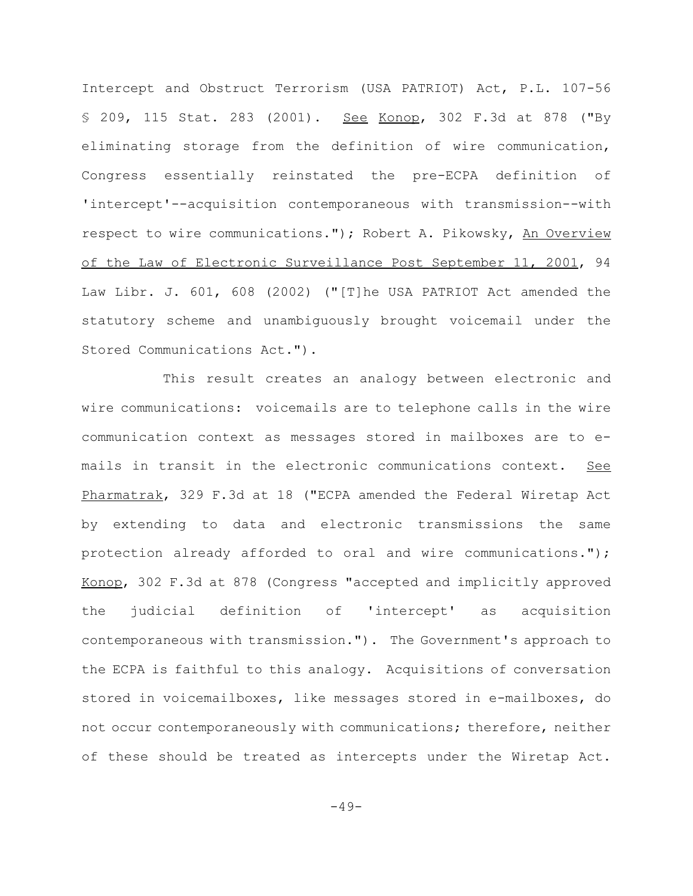Intercept and Obstruct Terrorism (USA PATRIOT) Act, P.L. 107-56 § 209, 115 Stat. 283 (2001). See Konop, 302 F.3d at 878 ("By eliminating storage from the definition of wire communication, Congress essentially reinstated the pre-ECPA definition of 'intercept'--acquisition contemporaneous with transmission--with respect to wire communications."); Robert A. Pikowsky, An Overview of the Law of Electronic Surveillance Post September 11, 2001, 94 Law Libr. J. 601, 608 (2002) ("[T]he USA PATRIOT Act amended the statutory scheme and unambiguously brought voicemail under the Stored Communications Act.").

This result creates an analogy between electronic and wire communications: voicemails are to telephone calls in the wire communication context as messages stored in mailboxes are to emails in transit in the electronic communications context. See Pharmatrak, 329 F.3d at 18 ("ECPA amended the Federal Wiretap Act by extending to data and electronic transmissions the same protection already afforded to oral and wire communications."); Konop, 302 F.3d at 878 (Congress "accepted and implicitly approved the judicial definition of 'intercept' as acquisition contemporaneous with transmission."). The Government's approach to the ECPA is faithful to this analogy. Acquisitions of conversation stored in voicemailboxes, like messages stored in e-mailboxes, do not occur contemporaneously with communications; therefore, neither of these should be treated as intercepts under the Wiretap Act.

 $-49-$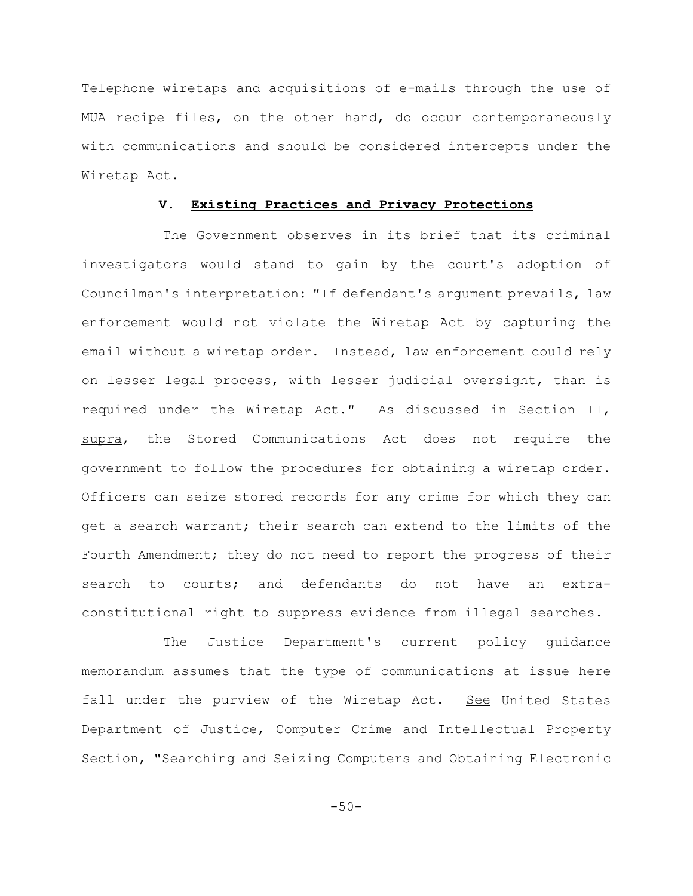Telephone wiretaps and acquisitions of e-mails through the use of MUA recipe files, on the other hand, do occur contemporaneously with communications and should be considered intercepts under the Wiretap Act.

# **V. Existing Practices and Privacy Protections**

The Government observes in its brief that its criminal investigators would stand to gain by the court's adoption of Councilman's interpretation: "If defendant's argument prevails, law enforcement would not violate the Wiretap Act by capturing the email without a wiretap order. Instead, law enforcement could rely on lesser legal process, with lesser judicial oversight, than is required under the Wiretap Act." As discussed in Section II, supra, the Stored Communications Act does not require the government to follow the procedures for obtaining a wiretap order. Officers can seize stored records for any crime for which they can get a search warrant; their search can extend to the limits of the Fourth Amendment; they do not need to report the progress of their search to courts; and defendants do not have an extraconstitutional right to suppress evidence from illegal searches.

The Justice Department's current policy guidance memorandum assumes that the type of communications at issue here fall under the purview of the Wiretap Act. See United States Department of Justice, Computer Crime and Intellectual Property Section, "Searching and Seizing Computers and Obtaining Electronic

 $-50-$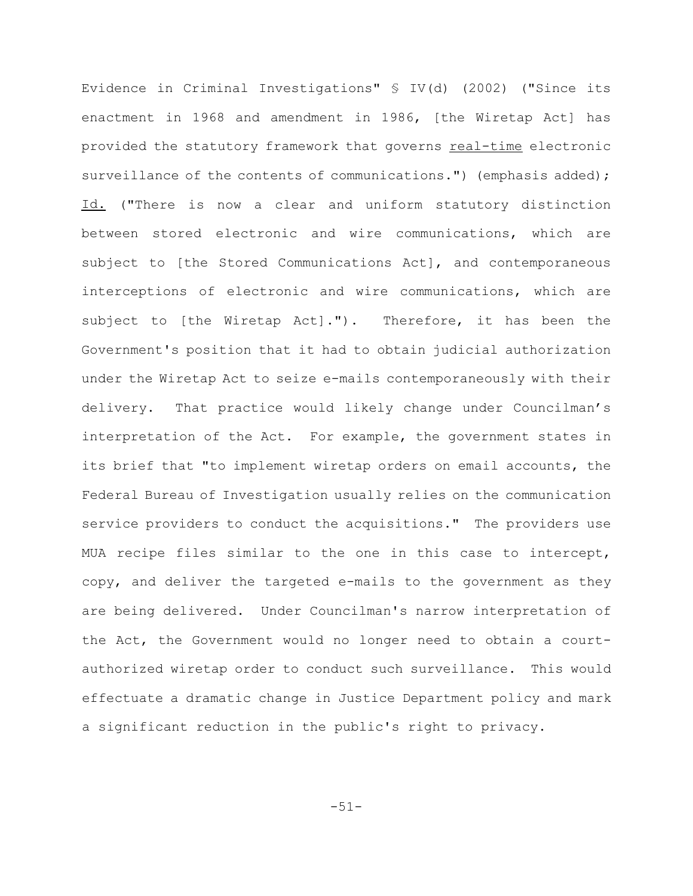Evidence in Criminal Investigations" § IV(d) (2002) ("Since its enactment in 1968 and amendment in 1986, [the Wiretap Act] has provided the statutory framework that governs real-time electronic surveillance of the contents of communications.") (emphasis added); Id. ("There is now a clear and uniform statutory distinction between stored electronic and wire communications, which are subject to [the Stored Communications Act], and contemporaneous interceptions of electronic and wire communications, which are subject to [the Wiretap Act]."). Therefore, it has been the Government's position that it had to obtain judicial authorization under the Wiretap Act to seize e-mails contemporaneously with their delivery. That practice would likely change under Councilman's interpretation of the Act. For example, the government states in its brief that "to implement wiretap orders on email accounts, the Federal Bureau of Investigation usually relies on the communication service providers to conduct the acquisitions." The providers use MUA recipe files similar to the one in this case to intercept, copy, and deliver the targeted e-mails to the government as they are being delivered. Under Councilman's narrow interpretation of the Act, the Government would no longer need to obtain a courtauthorized wiretap order to conduct such surveillance. This would effectuate a dramatic change in Justice Department policy and mark a significant reduction in the public's right to privacy.

-51-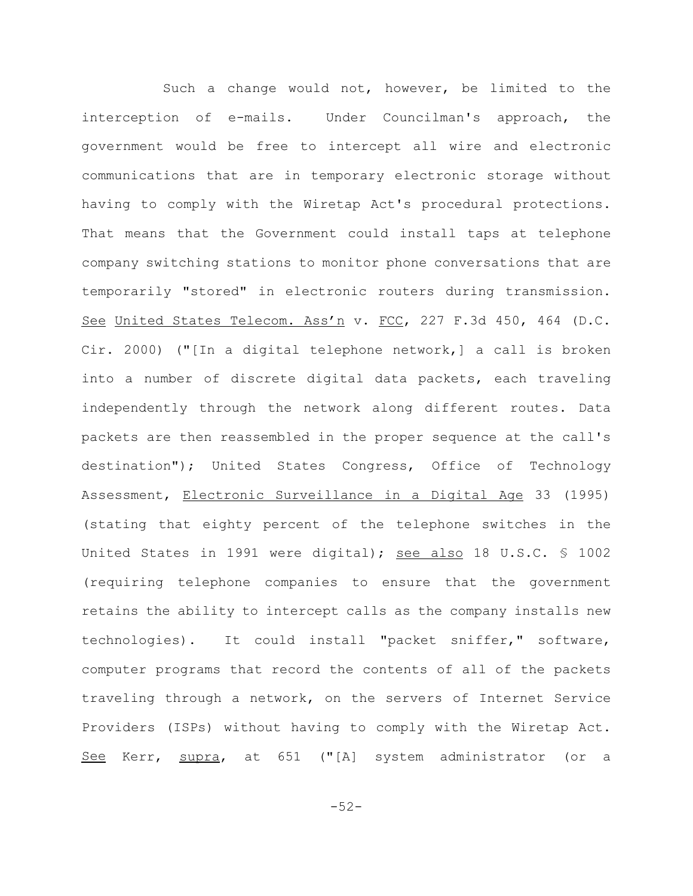Such a change would not, however, be limited to the interception of e-mails. Under Councilman's approach, the government would be free to intercept all wire and electronic communications that are in temporary electronic storage without having to comply with the Wiretap Act's procedural protections. That means that the Government could install taps at telephone company switching stations to monitor phone conversations that are temporarily "stored" in electronic routers during transmission. See United States Telecom. Ass'n v. FCC, 227 F.3d 450, 464 (D.C. Cir. 2000) ("[In a digital telephone network,] a call is broken into a number of discrete digital data packets, each traveling independently through the network along different routes. Data packets are then reassembled in the proper sequence at the call's destination"); United States Congress, Office of Technology Assessment, Electronic Surveillance in a Digital Age 33 (1995) (stating that eighty percent of the telephone switches in the United States in 1991 were digital); see also 18 U.S.C. § 1002 (requiring telephone companies to ensure that the government retains the ability to intercept calls as the company installs new technologies). It could install "packet sniffer," software, computer programs that record the contents of all of the packets traveling through a network, on the servers of Internet Service Providers (ISPs) without having to comply with the Wiretap Act. See Kerr, supra, at 651 ("[A] system administrator (or a

-52-